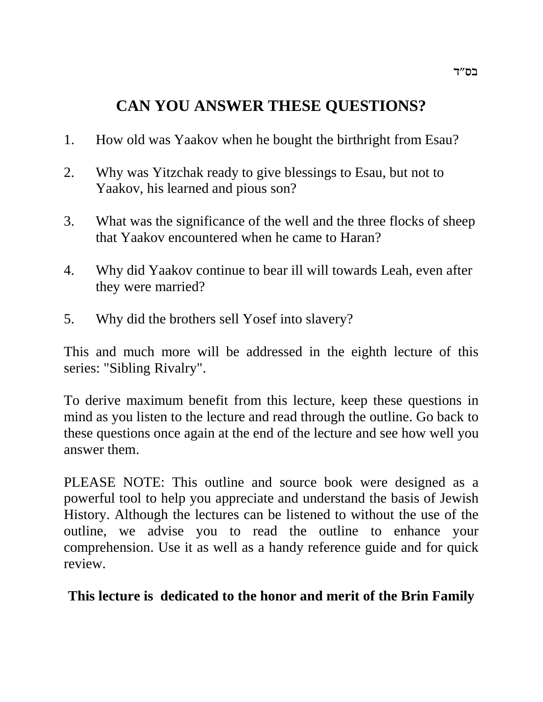# **CAN YOU ANSWER THESE QUESTIONS?**

- 1. How old was Yaakov when he bought the birthright from Esau?
- 2. Why was Yitzchak ready to give blessings to Esau, but not to Yaakov, his learned and pious son?
- 3. What was the significance of the well and the three flocks of sheep that Yaakov encountered when he came to Haran?
- 4. Why did Yaakov continue to bear ill will towards Leah, even after they were married?
- 5. Why did the brothers sell Yosef into slavery?

This and much more will be addressed in the eighth lecture of this series: "Sibling Rivalry".

To derive maximum benefit from this lecture, keep these questions in mind as you listen to the lecture and read through the outline. Go back to these questions once again at the end of the lecture and see how well you answer them.

PLEASE NOTE: This outline and source book were designed as a powerful tool to help you appreciate and understand the basis of Jewish History. Although the lectures can be listened to without the use of the outline, we advise you to read the outline to enhance your comprehension. Use it as well as a handy reference guide and for quick review.

**This lecture is dedicated to the honor and merit of the Brin Family**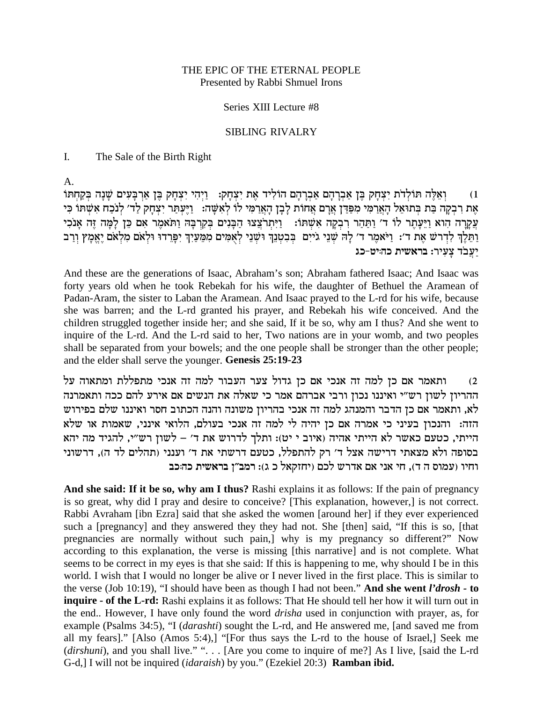### THE EPIC OF THE ETERNAL PEOPLE Presented by Rabbi Shmuel Irons

### Series XIII Lecture #8

#### **SIBLING RIVALRY**

#### $\mathbf{I}$ . The Sale of the Birth Right

 $A_{1}$ 

וְאֵלֶּה תּוֹלְדֹת יִצְחָק בֵּן אַבְרָהָם אַבְרָהָם הוֹלִיד אֶת יִצְחָק: [יְהִי יִצְחָק בֶּן אַרְבָּעִים שָׁנָה בְּקַחְתּוֹ  $(1)$ אֶת רִבְקָה בַּת בְּתוּאֵל הָאֲרַמִּי מִפַּדַּן אֲרָם אֲחוֹת לְבָן הָאֲרַמִי לוֹ לְאִשֶּׁה: וַיֶּעְתַר יִצְחָק לַד׳ לְנכַח אִשְׁתוֹ כִּי עֲקֶרָה הוא וַיֵּעָתֶר לו ד׳ וַתַּהַר רִבְקָה אִשְׁתּו: וַיִּתְרֹצֵצוּ הַבָּנִים בְקִרְבָה וַתֹּאמֶר אִם כֵּן לָמָה זֶה אָנֹכִי וַתֵּעֶן לִדְרְשׁ אֶת ד׳: וַיֹּאמֶר ד׳ לָה שְׁנֵי גֹייִם בְּבִטְנֵךְ וּשְׁנֵי לְאָמִים מִמֵּעַיִךְ יִפְרֵדוּ וּלְאם מִלְאם יֶאֱמָץ וְרַב יעבד צעיר: בראשית כהיט-כג

And these are the generations of Isaac, Abraham's son; Abraham fathered Isaac; And Isaac was forty years old when he took Rebekah for his wife, the daughter of Bethuel the Aramean of Padan-Aram, the sister to Laban the Aramean. And Isaac prayed to the L-rd for his wife, because she was barren; and the L-rd granted his prayer, and Rebekah his wife conceived. And the children struggled together inside her; and she said, If it be so, why am I thus? And she went to inquire of the L-rd. And the L-rd said to her, Two nations are in your womb, and two peoples shall be separated from your bowels; and the one people shall be stronger than the other people; and the elder shall serve the younger. Genesis 25:19-23

ותאמר אם כן למה זה אנכי אם כן גדול צער העבור למה זה אנכי מתפללת ומתאוה על  $(2)$ ההריון לשון רש״י ואיננו נכון ורבי אברהם אמר כי שאלה את הנשים אם אירע להם ככה ותאמרנה לא, ותאמר אם כן הדבר והמנהג למה זה אנכי בהריון משונה והנה הכתוב חסר ואיננו שלם בפירוש הזה: והנכון בעיני כי אמרה אם כן יהיה לי למה זה אנכי בעולם, הלואי אינני, שאמות או שלא הייתי, כטעם כאשר לא הייתי אהיה (איוב י יט): ותלך לדרוש את ד׳ – לשון רש״י, להגיד מה יהא בסופה ולא מצאתי דרישה אצל ד' רק להתפלל, כטעם דרשתי את ד' וענני (תהלים לד ה), דרשוני וחיו (עמוס ה ד), חי אני אם אדרש לכם (יחזקאל כ ג): רמב"ן בראשית כה:כב

And she said: If it be so, why am I thus? Rashi explains it as follows: If the pain of pregnancy is so great, why did I pray and desire to conceive? [This explanation, however,] is not correct. Rabbi Avraham [ibn Ezra] said that she asked the women [around her] if they ever experienced such a [pregnancy] and they answered they they had not. She [then] said, "If this is so, [that pregnancies are normally without such pain,] why is my pregnancy so different?" Now according to this explanation, the verse is missing [this narrative] and is not complete. What seems to be correct in my eyes is that she said: If this is happening to me, why should I be in this world. I wish that I would no longer be alive or I never lived in the first place. This is similar to the verse (Job 10:19), "I should have been as though I had not been." And she went l'drosh - to **inquire - of the L-rd:** Rashi explains it as follows: That He should tell her how it will turn out in the end.. However, I have only found the word *drisha* used in conjunction with prayer, as, for example (Psalms 34:5), "I (*darashti*) sought the L-rd, and He answered me, [and saved me from all my fears]." [Also (Amos 5:4),] "[For thus says the L-rd to the house of Israel,] Seek me (dirshuni), and you shall live." "... [Are you come to inquire of me?] As I live, [said the L-rd G-d,] I will not be inquired (*idaraish*) by you." (Ezekiel 20:3) **Ramban ibid.**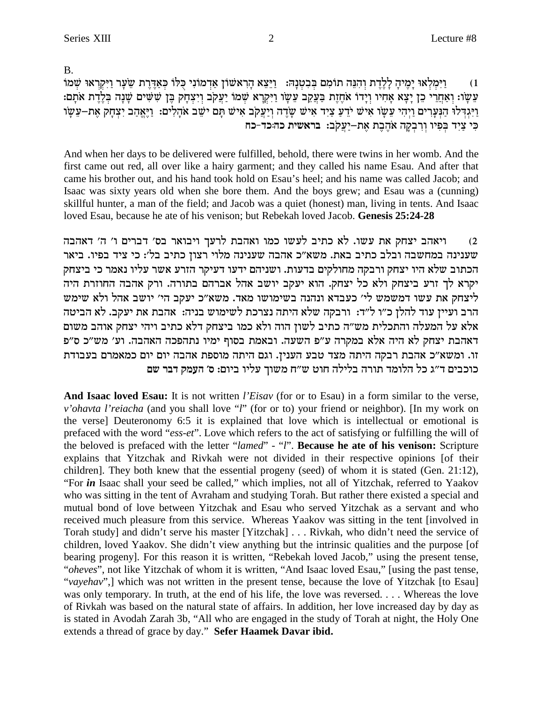$B<sub>1</sub>$ 

וַיְּמַלְאוּ יָמֵיהָ לַלֵדֶת וְהָנֵּה תוֹמָם בִּבְטְנָהּ: - וַיֵּצֵא הַרְאשׁוֹן אַדְמוֹנִי כִּלּוֹ כִּאֲדֶרֶת שֶׂעֲר וַיִּקְרָאוּ שָׁמוֹ  $(1)$ עֲשָׂו: וְאַחֲרֵי כֵן יָצָא אַחִיו וְיַדוֹ אֹחֶזֶת בַּעֲקֵב עֲשָׂו וַיִּקְרָא שְׁמֹוֹ יַעֲקֹב וְיִצְחָק בֵּן שִׁשִּׁים שַׁנָה בִלֶרֶת אֹתַם: וַיְּגִדְּלוּ הַנִּעֲרִים וַיְהִי עֵשָׂו אִישׁ יֹדֵעַ צַיִד אִישׁ שָׂדֵה וְיַעֲקֹב אִישׁ תַּם יֹשֵׁב אֹהָלִים: וַיֵּאֲהָב יִצְחָק אֵת–עֵשָׂו כִּי צַיִד בִּפִיו וְרָבְקָה אֹהֶבֶת אֶת-יַעֲקֹב: בראשית כה:כד-כח

And when her days to be delivered were fulfilled, behold, there were twins in her womb. And the first came out red, all over like a hairy garment; and they called his name Esau. And after that came his brother out, and his hand took hold on Esau's heel; and his name was called Jacob; and Isaac was sixty years old when she bore them. And the boys grew; and Esau was a (cunning) skillful hunter, a man of the field; and Jacob was a quiet (honest) man, living in tents. And Isaac loved Esau, because he ate of his venison; but Rebekah loved Jacob. Genesis 25:24-28

ויאהב יצחק את עשו. לא כתיב לעשו כמו ואהבת לרעך ויבואר בס׳ דברים ו׳ ה׳ דאהבה  $(2)$ שענינה במחשבה ובלב כתיב באת. משא"כ אהבה שענינה מלוי רצון כתיב בל׳: כי ציד בפיו. ביאר הכתוב שלא היו יצחק ורבקה מחולקים בדעות. ושניהם ידעו דעיקר הזרע אשר עליו נאמר כי ביצחק יקרא לך זרע ביצחק ולא כל יצחק. הוא יעקב יושב אהל אברהם בתורה. ורק אהבה החוזרת היה ליצחק את עשו דמשמש לי׳ כעבדא ונהנה בשימושו מאד. משא״כ יעקב הי׳ יושב אהל ולא שימש הרב ועיין עוד להלן כ״ו ל״ד: ורבקה שלא היתה נצרכת לשימוש בניה: אהבת את יעקב. לא הביטה אלא על המעלה והתכלית מש״ה כתיב לשון הוה ולא כמו ביצחק דלא כתיב ויהי יצחק אוהב משום דאהבת יצחק לא היה אלא במקרה ע״פ השעה. ובאמת בסוף ימיו נתהפכה האהבה. וע׳ מש״כ ס״פ זו. ומשא״כ אהבת רבקה היתה מצד טבע הענין. וגם היתה מוספת אהבה יום יום כמאמרם בעבודת כוכבים ד״ג כל הלומד תורה בלילה חוט ש״ח משוך עליו ביום: ס׳ העמק דבר שם

And Isaac loved Esau: It is not written *l'Eisav* (for or to Esau) in a form similar to the verse, v'ohavta l'reiacha (and you shall love "l" (for or to) your friend or neighbor). [In my work on the verse] Deuteronomy 6:5 it is explained that love which is intellectual or emotional is prefaced with the word "ess-et". Love which refers to the act of satisfying or fulfilling the will of the beloved is prefaced with the letter "lamed" - "l". Because he ate of his venison: Scripture explains that Yitzchak and Rivkah were not divided in their respective opinions [of their children]. They both knew that the essential progeny (seed) of whom it is stated (Gen. 21:12), "For in Isaac shall your seed be called," which implies, not all of Yitzchak, referred to Yaakov who was sitting in the tent of Avraham and studying Torah. But rather there existed a special and mutual bond of love between Yitzchak and Esau who served Yitzchak as a servant and who received much pleasure from this service. Whereas Yaakov was sitting in the tent [involved in Torah study] and didn't serve his master [Yitzchak] . . . Rivkah, who didn't need the service of children, loved Yaakov. She didn't view anything but the intrinsic qualities and the purpose [of bearing progeny]. For this reason it is written, "Rebekah loved Jacob," using the present tense, "oheves", not like Yitzchak of whom it is written, "And Isaac loved Esau," [using the past tense, "vayehav",] which was not written in the present tense, because the love of Yitzchak [to Esau] was only temporary. In truth, at the end of his life, the love was reversed.... Whereas the love of Rivkah was based on the natural state of affairs. In addition, her love increased day by day as is stated in Avodah Zarah 3b, "All who are engaged in the study of Torah at night, the Holy One extends a thread of grace by day." Sefer Haamek Davar ibid.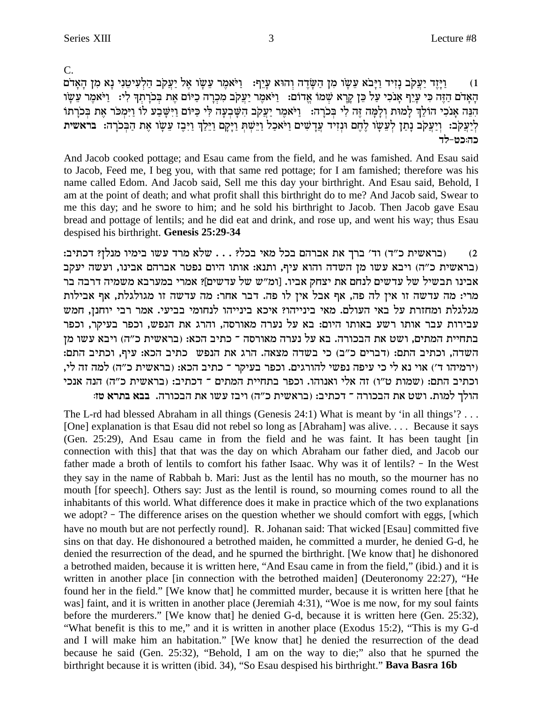$C_{\cdot}$ 

וַיַּזֵד יַעֲקֹב נַזִיד וַיַּבֹא עֵשׂו מִן הַשַּׂדֵה וְהוּא עַיֵף: | וַיֹּאמֵר עֵשׂו אֵל יַעֲקֹב הַלְעִיטֵנִי נָא מְן הָאַדֹם  $(1)$ הַאָדם הַזֶּה כִּי עָיֵף אֲנֹכִי עַל כֵּן קַרָא שִׁמוֹ אֲדוֹם: [יֹּאמֶר יַעֲקֹב מִכְרָה כַיּוֹם אֶת בְּכֹרְתְךָ לִי: [יֹּאמֶר עֵשֶׂו הִנֵּה אָנכִי הוֹלֵךְ לְמוּת וְלָמָה זֶה לִי בִּכֹרָה: וַיֹּאמֶר יַעֲקִב הִשָּׁבִעָה לִי כַּיּוֹם וַיִּשֶׁבַע לוֹ וַיִּמְכֹּר אֶת בִּכֹרֶתוֹ לְיַעֲקֹב: וְיַעֲקֹב נְתַן לְעֵשֶׁו לֶחֶם וּנְזִיד עֲדָשִׁים וַיֹּאכַל וַיֵּשְׁתְּ וַיָּקָם וַיֵּלַךְ וַיִּבֶז עֵשֶׁו אֶת הַבְּכֹרָה: בראשית

And Jacob cooked pottage; and Esau came from the field, and he was famished. And Esau said to Jacob, Feed me, I beg you, with that same red pottage; for I am famished; therefore was his name called Edom. And Jacob said, Sell me this day your birthright. And Esau said, Behold, I am at the point of death; and what profit shall this birthright do to me? And Jacob said, Swear to me this day; and he swore to him; and he sold his birthright to Jacob. Then Jacob gave Esau bread and pottage of lentils; and he did eat and drink, and rose up, and went his way; thus Esau despised his birthright. Genesis 25:29-34

(בראשית כ"ד) וד' ברך את אברהם בכל מאי בכל? . . . שלא מרד עשו בימיו מנלן? דכתיב:  $(2)$ (בראשית כ"ה) ויבא עשו מן השדה והוא עיף, ותנא: אותו היום נפטר אברהם אבינו, ועשה יעקב אבינו תבשיל של עדשים לנחם את יצחק אביו. [ומ"ש של עדשים]? אמרי במערבא משמיה דרבה בר מרי: מה עדשה זו אין לה פה, אף אבל אין לו פה. דבר אחר: מה עדשה זו מגולגלת, אף אבילות מגלגלת ומחזרת על באי העולם. מאי בינייהו? איכא בינייהו לנחומי בביעי. אמר רבי יוחנן, חמש עבירות עבר אותו רשע באותו היום: בא על נערה מאורסה, והרג את הנפש, וכפר בעיקר, וכפר בתחיית המתים, ושט את הבכורה. בא על נערה מאורסה ־ כתיב הכא: (בראשית כ"ה) ויבא עשו מן השדה, וכתיב התם: (דברים כ"ב) כי בשדה מצאה. הרג את הנפש כתיב הכא: עיף, וכתיב התם: (ירמיהו ד׳) אוי נא לי כי עיפה נפשי להורגים. וכפר בעיקר ־ כתיב הכא: (בראשית כ״ה) למה זה לי, וכתיב התם: (שמות ט"ו) זה אלי ואנוהו. וכפר בתחיית המתים ־ דכתיב: (בראשית כ"ה) הנה אנכי הולך למות. ושט את הבכורה ־ דכתיב: (בראשית כ"ה) ויבז עשו את הבכורה. בבא בתרא טז:

The L-rd had blessed Abraham in all things (Genesis 24:1) What is meant by 'in all things'?... [One] explanation is that Esau did not rebel so long as [Abraham] was alive.... Because it says (Gen. 25:29), And Esau came in from the field and he was faint. It has been taught [in connection with this] that that was the day on which Abraham our father died, and Jacob our father made a broth of lentils to comfort his father Isaac. Why was it of lentils? - In the West they say in the name of Rabbah b. Mari: Just as the lentil has no mouth, so the mourner has no mouth [for speech]. Others say: Just as the lentil is round, so mourning comes round to all the inhabitants of this world. What difference does it make in practice which of the two explanations we adopt? - The difference arises on the question whether we should comfort with eggs, [which have no mouth but are not perfectly round]. R. Johanan said: That wicked [Esau] committed five sins on that day. He dishonoured a betrothed maiden, he committed a murder, he denied G-d, he denied the resurrection of the dead, and he spurned the birthright. [We know that] he dishonored a betrothed maiden, because it is written here, "And Esau came in from the field," (ibid.) and it is written in another place [in connection with the betrothed maiden] (Deuteronomy 22:27), "He found her in the field." [We know that] he committed murder, because it is written here [that he was] faint, and it is written in another place (Jeremiah 4:31), "Woe is me now, for my soul faints before the murderers." [We know that] he denied G-d, because it is written here (Gen. 25:32), "What benefit is this to me," and it is written in another place (Exodus 15:2), "This is my G-d and I will make him an habitation." [We know that] he denied the resurrection of the dead because he said (Gen. 25:32), "Behold, I am on the way to die;" also that he spurned the birthright because it is written (ibid. 34), "So Esau despised his birthright." Bava Basra 16b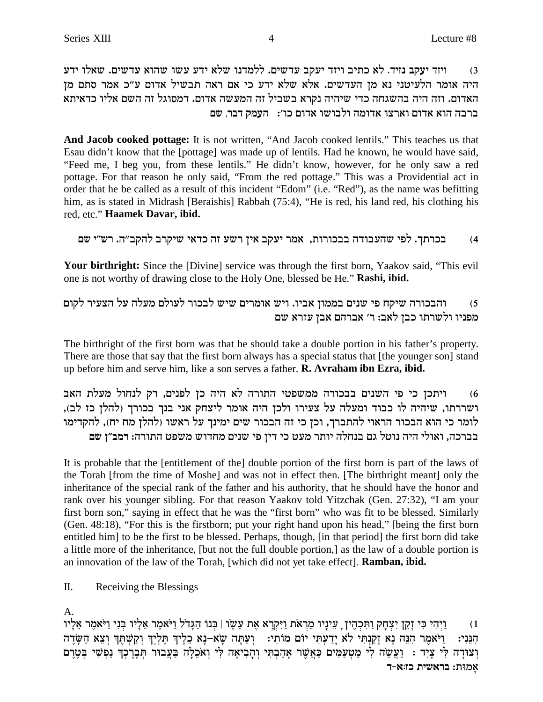ויזד יעקב נזיד. לא כתיב ויזד יעקב עדשים. ללמדנו שלא ידע עשו שהוא עדשים. שאלו ידע  $(3)$ היה אומר הלעיטני נא מן העדשים. אלא שלא ידע כי אם ראה תבשיל אדום ע״כ אמר סתם מן האדום. וזה היה בהשגחה כדי שיהיה נקרא בשביל זה המעשה אדום. דמסוגל זה השם אליו כדאיתא ברבה הוא אדום וארצו אדומה ולבושו אדום כו׳: העמק דבר, שם

And Jacob cooked pottage: It is not written, "And Jacob cooked lentils." This teaches us that Esau didn't know that the [pottage] was made up of lentils. Had he known, he would have said, "Feed me, I beg you, from these lentils." He didn't know, however, for he only saw a red pottage. For that reason he only said, "From the red pottage." This was a Providential act in order that he be called as a result of this incident "Edom" (i.e. "Red"), as the name was befitting him, as is stated in Midrash [Beraishis] Rabbah (75:4), "He is red, his land red, his clothing his red, etc." Haamek Davar, ibid.

בכרתך. לפי שהעבודה בבכורות, אמר יעקב אין רשע זה כדאי שיקרב להקב״ה. רש״י שם  $(4)$ 

Your birthright: Since the [Divine] service was through the first born, Yaakov said, "This evil one is not worthy of drawing close to the Holy One, blessed be He." Rashi, ibid.

והבכורה שיקח פי שנים בממון אביו. ויש אומרים שיש לבכור לעולם מעלה על הצעיר לקום  $(5)$ מפניו ולשרתו כבן לאב: ר' אברהם אבן עזרא שם

The birthright of the first born was that he should take a double portion in his father's property. There are those that say that the first born always has a special status that [the younger son] stand up before him and serve him, like a son serves a father. **R. Avraham ibn Ezra, ibid.** 

ויתכן כי פי השנים בבכורה ממשפטי התורה לא היה כן לפנים, רק לנחול מעלת האב  $(6)$ ושררתו, שיהיה לו כבוד ומעלה על צעירו ולכן היה אומר ליצחק אני בנך בכורך (להלן כז לב), לומר כי הוא הבכור הראוי להתברך, וכן כי זה הבכור שים ימינך על ראשו (להלן מח יח), להקדימו בברכה, ואולי היה נוטל גם בנחלה יותר מעט כי דין פי שנים מחדוש משפט התורה: רמב"ן שם

It is probable that the [entitlement of the] double portion of the first born is part of the laws of the Torah [from the time of Moshe] and was not in effect then. [The birthright meant] only the inheritance of the special rank of the father and his authority, that he should have the honor and rank over his younger sibling. For that reason Yaakov told Yitzchak (Gen. 27:32), "I am your first born son," saying in effect that he was the "first born" who was fit to be blessed. Similarly (Gen. 48:18), "For this is the firstborn; put your right hand upon his head," [being the first born entitled him] to be the first to be blessed. Perhaps, though, [in that period] the first born did take a little more of the inheritance, [but not the full double portion,] as the law of a double portion is an innovation of the law of the Torah, [which did not yet take effect]. Ramban, ibid.

Π. Receiving the Blessings

 $\mathsf{A}$ .

וַיְהִי כִּי זָקֵן יִצְחַק וַתְּכְהֵין ַ עֵינָיו מֵרְאֹת וַיִּקְרָא אֶת עֲשָׂו | בְּנוֹ הַגַּדֹל וַיֹּאמֵר אֲלָיו בְּנִי וַיֹּאמֵר אֲלָיו  $(1)$ וַיֹּאמַר הִנֵּה נָא זָקֲנְתִּי לֹא יָדַעתִּי יוֹם מוֹתִי: |וִעַתָּה שָׂא–נָא כֵלֵיךְ תִּלְיִךְ וְקַשְׁתֵּךְ וְצָא הַשָּׂדֵה הנני: וְצוּדָה לִּי צְיִד : וַעֲשֵׂה לִי מַטְעַמִּים כַּאֲשֶׁר אָהַבְתִּי וְהָבִיאָה לִּי וְאֹכֵלָה בַּעֲבוֹר תְּבָרֶכְךָ נַפְשִׁי בְּשֶׁרֶם אמות: בראשית כז:א-ד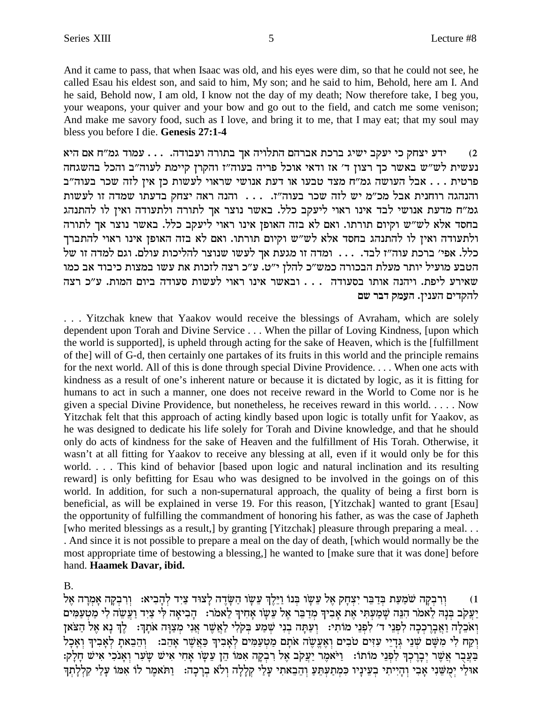And it came to pass, that when Isaac was old, and his eyes were dim, so that he could not see, he called Esau his eldest son, and said to him, My son; and he said to him, Behold, here am I. And he said, Behold now, I am old, I know not the day of my death; Now therefore take, I beg you, your weapons, your quiver and your bow and go out to the field, and catch me some venison; And make me savory food, such as I love, and bring it to me, that I may eat; that my soul may bless you before I die. Genesis 27:1-4

ידע יצחק כי יעקב ישיג ברכת אברהם התלויה אך בתורה ועבודה. . . . עמוד גמ"ח אם היא  $(2)$ נעשית לש"ש באשר כך רצון ד' אז ודאי אוכל פריה בעוה"ז והקרן קיימת לעוה"ב והכל בהשגחה פרטית . . . אבל העושה גמ"ח מצד טבעו או דעת אנושי שראוי לעשות כן אין לזה שכר בעוה"ב והנהגה רוחנית אבל מכ"מ יש לזה שכר בעוה"ז. . . . והנה ראה יצחק בדעתו שמדה זו לעשות גמ"ח מדעת אנושי לבד אינו ראוי ליעקב כלל. באשר נוצר אך לתורה ולתעודה ואין לו להתנהג בחסד אלא לש"ש וקיום תורתו. ואם לא בזה האופן אינו ראוי ליעקב כלל. באשר נוצר אך לתורה ולתעודה ואין לו להתנהג בחסד אלא לש"ש וקיום תורתו. ואם לא בזה האופן אינו ראוי להתברך כלל. אפי׳ ברכת עוה״ז לבד. ... ומדה זו מגעת אך לעשו שנוצר להליכות עולם. וגם למדה זו של הטבע מועיל יותר מעלת הבכורה כמש״כ להלן י״ט. ע״כ רצה לזכות את עשו במצות כיבוד אב כמו שאירע ליפת. ויהנה אותו בסעודה . . . ובאשר אינו ראוי לעשות סעודה ביום המות. ע"כ רצה להקדים הענין. העמק דבר שם

... Yitzchak knew that Yaakov would receive the blessings of Avraham, which are solely dependent upon Torah and Divine Service . . . When the pillar of Loving Kindness, [upon which the world is supported], is upheld through acting for the sake of Heaven, which is the [fulfillment] of the] will of G-d, then certainly one partakes of its fruits in this world and the principle remains for the next world. All of this is done through special Divine Providence.... When one acts with kindness as a result of one's inherent nature or because it is dictated by logic, as it is fitting for humans to act in such a manner, one does not receive reward in the World to Come nor is he given a special Divine Providence, but nonetheless, he receives reward in this world..... Now Yitzchak felt that this approach of acting kindly based upon logic is totally unfit for Yaakov, as he was designed to dedicate his life solely for Torah and Divine knowledge, and that he should only do acts of kindness for the sake of Heaven and the fulfillment of His Torah. Otherwise, it wasn't at all fitting for Yaakov to receive any blessing at all, even if it would only be for this world.... This kind of behavior [based upon logic and natural inclination and its resulting reward] is only befitting for Esau who was designed to be involved in the goings on of this world. In addition, for such a non-supernatural approach, the quality of being a first born is beneficial, as will be explained in verse 19. For this reason, [Yitzchak] wanted to grant [Esau] the opportunity of fulfilling the commandment of honoring his father, as was the case of Japheth [who merited blessings as a result,] by granting [Yitzchak] pleasure through preparing a meal... . And since it is not possible to prepare a meal on the day of death, [which would normally be the most appropriate time of bestowing a blessing, he wanted to [make sure that it was done] before hand. Haamek Davar, ibid.

 $B<sub>1</sub>$ 

וְרִבְקָה שֹׁמֲעַת בְּדַבֵּר יִצְחָק אֵל עֵשַׂוּ בְּנוֹ וַיֵּלֵךְ עֵשָׂוּ הַשָּׂדֵה לַצוּד צַיִד לְהָבִיא: וְרִבְקָה אָמְרָה אֵל  $(1)$ יַעֲקָב בִּנָה לֵאמֹר הִנֵּה שָׁמַעְתִּי אֶת אָבִיךְ מְדַבֵּר אֵל עֵשָׂו אָחִיךְ לֵאמֹר: [הָבִיאָה לִי צַיִד וַעֲשֵׂה לִי מַטִעַמִּים וְאֹכֵלָה וַאֲבַרֵכְבָה לְפְנֵי ד' לְפְנֵי מוֹתִי: וְעַתַּה בְנִי שִׁמֲעֹ בְּקִלִי לַאֲשֶׁר אֲנִי מִצַוָּה אֹתַךְ: ` לֵךְ נָא אֶל הַצֹּאן וְקָח לִי מִשָּׁם שִׁנֵי גְדֵיֵי עִזִּים טֹבִים וְאֶעֱשֶׂה אֹתַם מַטִעֲמִים לְאֲבִיךְ כָּאֲשֶׁר אָהֶב: וְהֶבָאת לְאָבִיךְ וְאָכָל בַּעֲבָר אֲשֶׁר יִבָרֶכְךָ לְפְנֵי מוֹתוֹ: [יֹּאמֶר יַעֲקֹב אֶל רִבְקָה אָמוֹ הֶן עֲשָׂו אָחִי אִישׁ שָעָר וְאָנֹכִי אִישׁ חַלְק: אוּלַי יְמְשֵׁנִי אָבִי וְהָיִיתִי בְעֵינָיו כִּמְתַעְתֵּעַ וְהֵבֵאתִי עָלַי קִלָלָה וְלֹא בְרָכָה: [וִתֹּאמֵר לוֹ אִמּוֹ עַלַי קִלְלַתְךָ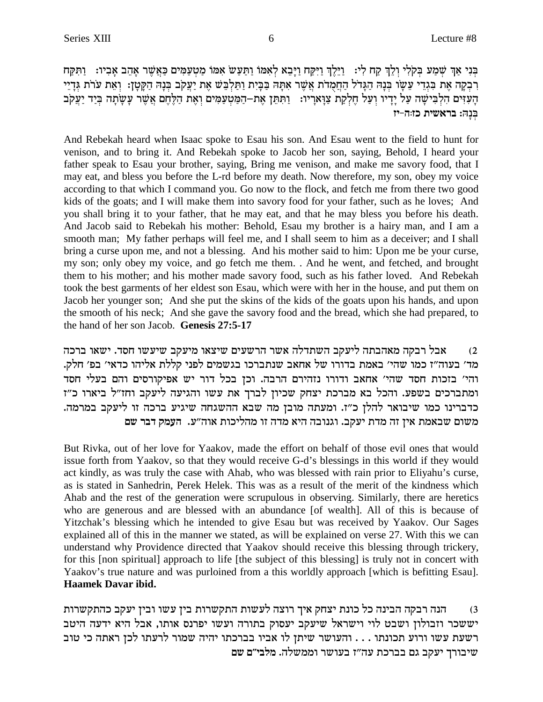בְּנִי אַךְ שְׁמַע בְּקֹלִי וְלֵךְ קַח לִי: וַיֵּלֶךְ וַיִּקַח וַיָּבֵא לְאִמּוֹ וַתַּעַשׂ אִמּוֹ מַטִעַמִּים כַּאֲשֶׁר אָהֵב אָבִיו: וַתִּקַח רְבִקָה אֶת בִּגְדֵי עֵשָׂו בִּנָהּ הַגָּדֹל הַחַמְדֹת אֲשֶׁר אִתָּה בַּבָּיִת וַתַּלְבֵּשׁ אֶת יַעֲקֹב בִּנָה הַקָּטָן: וְאֵת עֹרֹת גִּדָיֵי .<br>הַעִּזִּים הַלְבִּישָׁה עַל יָדְיו וְעַל חֶלְקַת צַוָארָיו: וַתִּתֵּן אֶת–הַמַּטְעַמִּים וְאֶת הַלֶּחֶם אֲשֶׁר עָשָׂתָה בְּיַד יַעֲקֹב בִּנָה: בראשית כז:ה-יז

And Rebekah heard when Isaac spoke to Esau his son. And Esau went to the field to hunt for venison, and to bring it. And Rebekah spoke to Jacob her son, saying, Behold, I heard your father speak to Esau your brother, saying, Bring me venison, and make me savory food, that I may eat, and bless you before the L-rd before my death. Now therefore, my son, obey my voice according to that which I command you. Go now to the flock, and fetch me from there two good kids of the goats; and I will make them into savory food for your father, such as he loves; And you shall bring it to your father, that he may eat, and that he may bless you before his death. And Jacob said to Rebekah his mother: Behold, Esau my brother is a hairy man, and I am a smooth man; My father perhaps will feel me, and I shall seem to him as a deceiver; and I shall bring a curse upon me, and not a blessing. And his mother said to him: Upon me be your curse, my son; only obey my voice, and go fetch me them. . And he went, and fetched, and brought them to his mother; and his mother made savory food, such as his father loved. And Rebekah took the best garments of her eldest son Esau, which were with her in the house, and put them on Jacob her younger son; And she put the skins of the kids of the goats upon his hands, and upon the smooth of his neck; And she gave the savory food and the bread, which she had prepared, to the hand of her son Jacob. Genesis 27:5-17

אבל רבקה מאהבתה ליעקב השתדלה אשר הרשעים שיצאו מיעקב שיעשו חסד. ישאו ברכה  $(2)$ מד' בעוה"ז כמו שהי' באמת בדורו של אחאב שנתברכו בגשמים לפני קללת אליהו כדאי' בפ' חלק. והי' בזכות חסד שהי' אחאב ודורו נזהירם הרבה. וכן בכל דור יש אפיקורסים והם בעלי חסד ומתברכים בשפע. והכל בא מברכת יצחק שכיון לברך את עשו והגיעה ליעקב וחז"ל ביארו כ"ז כדברינו כמו שיבואר להלן כ"ז. ומעתה מובן מה שבא ההשגחה שיגיע ברכה זו ליעקב במרמה. משום שבאמת אין זה מדת יעקב. וגנובה היא מדה זו מהליכות אוה״ע. העמק דבר שם

But Rivka, out of her love for Yaakov, made the effort on behalf of those evil ones that would issue forth from Yaakov, so that they would receive G-d's blessings in this world if they would act kindly, as was truly the case with Ahab, who was blessed with rain prior to Eliyahu's curse, as is stated in Sanhedrin, Perek Helek. This was as a result of the merit of the kindness which Ahab and the rest of the generation were scrupulous in observing. Similarly, there are heretics who are generous and are blessed with an abundance [of wealth]. All of this is because of Yitzchak's blessing which he intended to give Esau but was received by Yaakov. Our Sages explained all of this in the manner we stated, as will be explained on verse 27. With this we can understand why Providence directed that Yaakov should receive this blessing through trickery, for this [non spiritual] approach to life [the subject of this blessing] is truly not in concert with Yaakov's true nature and was purloined from a this worldly approach [which is befitting Esau]. Haamek Davar ibid.

הנה רבקה הבינה כל כונת יצחק איך רוצה לעשות התקשרות בין עשו ובין יעקב כהתקשרות  $(3)$ יששכר וזבולון ושבט לוי וישראל שיעקב יעסוק בתורה ועשו יפרנס אותו, אבל היא ידעה היטב רשעת עשו ורוע תכונתו . . . והעושר שיתן לו אביו בברכתו יהיה שמור לרעתו לכן ראתה כי טוב שיבורך יעקב גם בברכת עה״ז בעושר וממשלה. מלבי״ם שם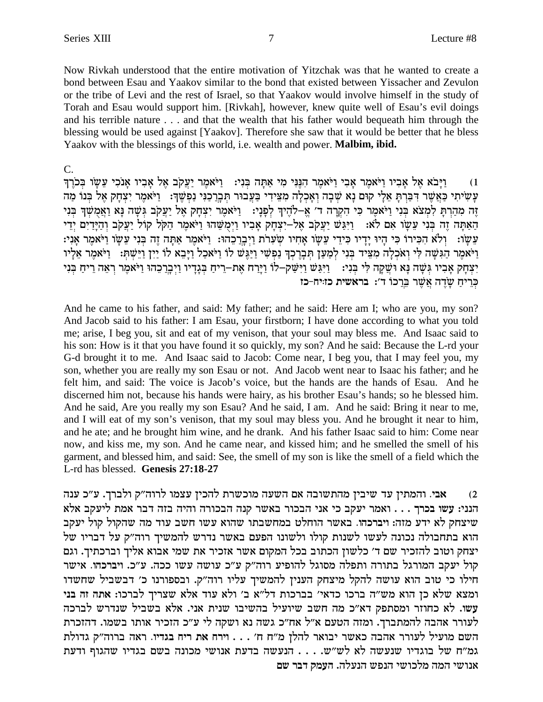Now Rivkah understood that the entire motivation of Yitzchak was that he wanted to create a bond between Esau and Yaakov similar to the bond that existed between Yissacher and Zevulon or the tribe of Levi and the rest of Israel, so that Yaakov would involve himself in the study of Torah and Esau would support him. [Rivkah], however, knew quite well of Esau's evil doings and his terrible nature . . . and that the wealth that his father would bequeath him through the blessing would be used against [Yaakov]. Therefore she saw that it would be better that he bless Yaakov with the blessings of this world, i.e. wealth and power. Malbim, ibid.

#### $C_{\cdot}$

וַיַּבֹא אֵל אַבִיו וַיֹּאמֶר אַבִי וַיֹּאמֶר הַגַּנִי מִי אַתַּה בְּנִי: וַיֹּאמֶר יַעֲקֹב אֵל אַבִיו אַנֹכִי עֵשׂו בְּכֹוֶךְ  $(1)$ עַשִׂיתִי כַּאֲשֶׁר דִּבַּרְתַּ אֶלֵי קוּם נַא שִׁבָה וְאַכְלָה מְצֵידִי בַּעֲבוּר תִּבְרָכְנִי נַפְשֵׁךָ: 「וַיֹּאמֶר יִצְחַק אֵל בְּנוֹ מַה זֶה מְהַרְתַּ לְמְצֹא בְּנִי וַיֹּאמֶר כִּי הְקְרַה ד' אֱ–לֹהֶיךָ לְפָנָי: - וַיֹּאמֶר יִצְחָק אֵל יַעֲקֹב גִּשָׁה נָּא וַאֲמְשָׁךְ בְּנִי הַאַתַּה זֵה בִּנִי עֵשֶׂו אִם לֹא: [יִיּגֵשׁ יַעֲקִב אֶל-יִצְחַק אֲבִיו וַיִּמְשֶׁהוּ וַיֹּאמֵר הַקִּל קוֹל יַעֲקִב וְהַיַּדֵיִם יִדֵי עֲשֵׂו: וְלֹא הִכִּירוֹ כִּי הַיִּוּ יַדְיוּ כִּידִי עֲשֵׂו אַחִיו שִׂעֲרֹת וַיְבַרְכָהוּ: וַיֹּאמֶר אַתָּה זָה בִּנִי עֲשֵׂו וַיֹּאמֶר אַנִי: וַיֹּאמֶר הַגִּשָׁה לִי וְאֹכְלָה מִצִיד בְּנִי לְמַעַן תִּבְרֶכךְ נַפְשִׁי וַיַּגֲשׁ לוֹ וַיִּאבָל וַיָּבָא לוֹ יַיִן וַיִּשִׁתּ: וַיֹּאמֵר אֵלְיו יִצְחָק אָבִיו גִּשָׁה נָא וּשֵׁקָה לִי בְּנִי: | וַיְּגַּשׁ וַיִּשַּׁקְ–לוֹ וַיְרַח אֶת–רֵיחַ בְּנָדְיו וַיְבְרַכֵהוּ וַיֹּאמֶר רְאֵה רֵיחַ בְּנִי כריח שדה אשר ברכו ד׳: בראשית כזויח-כז

And he came to his father, and said: My father; and he said: Here am I; who are you, my son? And Jacob said to his father: I am Esau, your firstborn; I have done according to what you told me; arise, I beg you, sit and eat of my venison, that your soul may bless me. And Isaac said to his son: How is it that you have found it so quickly, my son? And he said: Because the L-rd your G-d brought it to me. And Isaac said to Jacob: Come near, I beg you, that I may feel you, my son, whether you are really my son Esau or not. And Jacob went near to Isaac his father; and he felt him, and said: The voice is Jacob's voice, but the hands are the hands of Esau. And he discerned him not, because his hands were hairy, as his brother Esau's hands; so he blessed him. And he said, Are you really my son Esau? And he said, I am. And he said: Bring it near to me, and I will eat of my son's venison, that my soul may bless you. And he brought it near to him, and he ate; and he brought him wine, and he drank. And his father Isaac said to him: Come near now, and kiss me, my son. And he came near, and kissed him; and he smelled the smell of his garment, and blessed him, and said: See, the smell of my son is like the smell of a field which the L-rd has blessed. Genesis 27:18-27

אבי. והמתין עד שיבין מהתשובה אם השעה מוכשרת להכין עצמו לרוה"ק ולברך. ע"כ ענה  $(2)$ הנני: עשו בכרך . . . ואמר יעקב כי אני הבכור באשר קנה הבכורה והיה בזה דבר אמת ליעקב אלא שיצחק לא ידע מזה: ויברכהו. באשר הוחלט במחשבתו שהוא עשו חשב עוד מה שהקול קול יעקב הוא בתחבולה נכונה לעשו לשנות קולו ולשונו הפעם באשר נדרש להמשיך רוה"ק על דבריו של יצחק וטוב להזכיר שם ד' כלשון הכתוב בכל המקום אשר אזכיר את שמי אבוא אליך וברכתיך. וגם קול יעקב המורגל בתורה ותפלה מסוגל להופיע רוה"ק ע"כ עושה עשו ככה. ע"כ. ויברכהו. אישר חילו כי טוב הוא עושה להקל מיצחק הענין להמשיך עליו רוה"ק. ובספורנו כ' דבשביל שחשדו ומצא שלא כן הוא מש"ה ברכו כדאי' בברכות דל"א ב' ולא עוד אלא שצריך לברכו: אתה זה בני עשו. לא כחוזר ומסתפק דא"כ מה חשב שיועיל בהשיבו שנית אני. אלא בשביל שנדרש לברכה לעורר אהבה להמתברך. ומזה הטעם א"ל אח"כ גשה נא ושקה לי ע"כ הזכיר אותו בשמו. דהזכרת השם מועיל לעורר אהבה כאשר יבואר להלן מ"ח ח' . . . וירח את ריח בגדיו. ראה ברוה"ק גדולת גמ"ח של בוגדיו שנעשה לא לש"ש. . . . הנעשה בדעת אנושי מכונה בשם בגדיו שהגוף ודעת אנושי המה מלכושי הנפש הנעלה. העמק דבר שם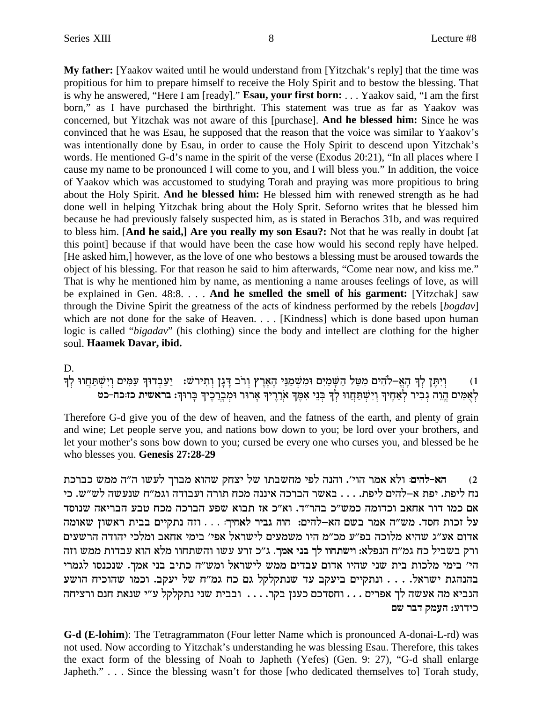**My father:** [Yaakov waited until he would understand from [Yitzchak's reply] that the time was propitious for him to prepare himself to receive the Holy Spirit and to bestow the blessing. That is why he answered, "Here I am [ready]."**Esau, your first born:** . . . Yaakov said, "I am the first born," as I have purchased the birthright. This statement was true as far as Yaakov was concerned, but Yitzchak was not aware of this [purchase]. **And he blessed him:** Since he was convinced that he was Esau, he supposed that the reason that the voice was similar to Yaakov's was intentionally done by Esau, in order to cause the Holy Spirit to descend upon Yitzchak's words. He mentioned G-d's name in the spirit of the verse (Exodus 20:21), "In all places where I cause my name to be pronounced I will come to you, and I will bless you." In addition, the voice of Yaakov which was accustomed to studying Torah and praying was more propitious to bring about the Holy Spirit. **And he blessed him:** He blessed him with renewed strength as he had done well in helping Yitzchak bring about the Holy Sprit. Seforno writes that he blessed him because he had previously falsely suspected him, as is stated in Berachos 31b, and was required to bless him. [**And he said,] Are you really my son Esau?:** Not that he was really in doubt [at this point] because if that would have been the case how would his second reply have helped. [He asked him,] however, as the love of one who bestows a blessing must be aroused towards the object of his blessing. For that reason he said to him afterwards, "Come near now, and kiss me." That is why he mentioned him by name, as mentioning a name arouses feelings of love, as will be explained in Gen. 48:8. . . . **And he smelled the smell of his garment:** [Yitzchak] saw through the Divine Spirit the greatness of the acts of kindness performed by the rebels [*bogdav*] which are not done for the sake of Heaven. . . . [Kindness] which is done based upon human logic is called "*bigadav*" (his clothing) since the body and intellect are clothing for the higher soul. **Haamek Davar, ibid.**

D.

ן בְּנְתֶּן לְךָּ הָאֱ–לֹהִים מִטַּל הַשָּׁמַיִם וּמִשְׁמַנֵּי הָאָרֶץ וְרֹב דָּגָן וִתִירשׁ: יַעֲבִדוּךְ עַמִּים וְיִשִׁתַּחֲווּ לִךְ לאמים הוה גביר לאחיד וישתחוו לד בני אמד ארריך ארור ומברכיד ברוד: בראשית כז:כח-כט

Therefore G-d give you of the dew of heaven, and the fatness of the earth, and plenty of grain and wine; Let people serve you, and nations bow down to you; be lord over your brothers, and let your mother's sons bow down to you; cursed be every one who curses you, and blessed be he who blesses you. **Genesis 27:28-29**

zkxak ynn d"d eyrl jxan `edy wgvi ly ezaygn itl dpde .'ied xn` `le **:midl-`d** (2 וה ליפת. יפת א–להים ליפת. . . . באשר הברכה איננה מכח תורה ועבודה וגמ״ח שנעשה לש״ש. כי אם כמו דור אחאב וכדומה כמש"כ בהר"ד. וא"כ אז תבוא שפע הברכה מכח טבע הבריאה שנוסד dne`y oey`x ziaa miiwzp dfe **. . . :jig`l xiab ded** :midl-`d mya xn` d"yn .cqg zekf lr אדום אע"ג שהיא מלוכה בפ"ע מכ"מ היו משמעים לישראל אפי' בימי אחאב ומלכי יהודה הרשעים ורק בשביל כח גמ״ח הנפלא: וישתחוו לך בני אמך. ג״כ זרע עשו והשתחוו מלא הוא עבדות ממש וזה הי' בימי מלכות בית שני שהיו אדום עבדים ממש לישראל ומש"ה כתיב בני אמך. שנכנסו לגמרי בהנהגת ישראל. . . . ונתקיים ביעקב עד שנתקלקל גם כח גמ"ח של יעקב. וכמו שהוכיח הושע הנביא מה אעשה לך אפרים . . . וחסדכם כענן בקר. . . . ובבית שני נתקלקל ע"י שנאת חנם ורציחה כידוע: העמק דבר שם

**G-d (E-lohim**): The Tetragrammaton (Four letter Name which is pronounced A-donai-L-rd) was not used. Now according to Yitzchak's understanding he was blessing Esau. Therefore, this takes the exact form of the blessing of Noah to Japheth (Yefes) (Gen. 9: 27), "G-d shall enlarge Japheth." . . . Since the blessing wasn't for those [who dedicated themselves to] Torah study,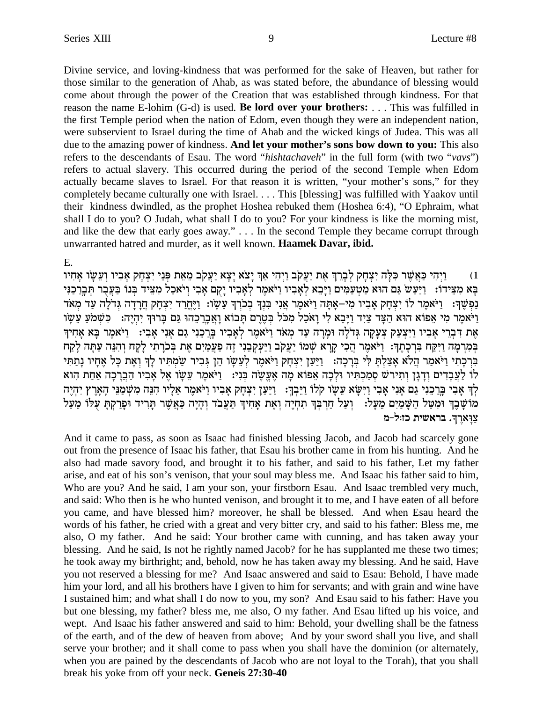Divine service, and loving-kindness that was performed for the sake of Heaven, but rather for those similar to the generation of Ahab, as was stated before, the abundance of blessing would come about through the power of the Creation that was established through kindness. For that reason the name E-lohim (G-d) is used. **Be lord over your brothers:** . . . This was fulfilled in the first Temple period when the nation of Edom, even though they were an independent nation, were subservient to Israel during the time of Ahab and the wicked kings of Judea. This was all due to the amazing power of kindness. And let your mother's sons bow down to you: This also refers to the descendants of Esau. The word "*hishtachaveh*" in the full form (with two "vavs") refers to actual slavery. This occurred during the period of the second Temple when Edom actually became slaves to Israel. For that reason it is written, "your mother's sons," for they completely became culturally one with Israel. . . . This [blessing] was fulfilled with Yaakov until their kindness dwindled, as the prophet Hoshea rebuked them (Hoshea 6:4), "O Ephraim, what shall I do to you? O Judah, what shall I do to you? For your kindness is like the morning mist, and like the dew that early goes away." . . . In the second Temple they became corrupt through unwarranted hatred and murder, as it well known. Haamek Davar, ibid.

#### E.

וַיִּהִי כַּאֲשֶׁר כִּלָּה יִצְחָק לִבְרֵךְ אֶת יַעֲקֹב וַיִּהִי אַךְ יָצֹא יָצָא יַעֲקֹב מֵאֵת פִּנֵי יִצְחָק אָבִיו וִעֵשָׂו אָחִיו  $(1)$ בָּא מִצֵידוֹ: וַיַּעֲשׂ גַּם הוּא מַטְעַמִּים וַיָּבֵא לְאָבִיו וַיֹּאמֵר לְאָבִיו יָקָם אָבִי וִיֹאכַל מִצֵיד בִּנוֹ בַּעֲבְר תִּבְרַכְנִי נַפְשֶׁךָ: יַיֹּאמֶר לוֹ יִצְחַק אַבְיו מִי–אַתַּה וַיֹּאמֶר אֲנִי בְּנִךְ בְּכֹוִךְ עֵשָׂו: וַיֵּחֵרַד יִצְחַק חֲרָדָה גְדֹלַה עַד מְאֹד וַיֹּאמֶר מִי אֵפוֹא הוּא הַצָּד צַיָד וַיַּבֵא לִי וַאֹכָל מְכֹּל בְּטֶרֶם תַּבוֹא וַאֲבְרָכֶהוּ גַּם בְּרוּךְ יִהְיֶה: | כְּשָׁמֹעַ עֵשָׂו אֶת דִּבְרֵי אָבִיו וַיִּצְעַק צְעָקֶה גְּדֹלָה וּמָרָה עַד מְאֹד וַיֹּאמֶר לְאָבִיו בָּרַבֵנִי גַם אָנִי אָבִי: וַיֹּאמֵר בָּא אָחִיךְ בִּמְרָמָה וַיִּקַח בְּרְכָתֶךָ: וַיֹּאמֶר הֲכִי קָרָא שָׁמוֹ יַעֲקִב וַיַּעְקָבֶנִי זֶה פַעֲמַיָם אֶת בְּכֹרֶתִי לַקַח וְהִנֵּה עָתָּה לַקַח ברכתי ויאמר הלא אצלת לי ברכה: ניען יצחק ויאמר לעשו הן גביר שמתיו לך ואת כל אחיו נתתי לו לעבדים ודגן ותירש סמכתיו ולכה אפוא מה אעשה בני: ניאמר עשו אל אביו הברכה אחת הוא לְךְ אָבִי בְּרֵכֵנִי גַם אָנִי אָבִי וַיִּשָּׂא עֵשָׂו קלו וַיֵּבְךָ: וַיַּעַן יִצְחָק אָבִיו וַיֹּאמֶר אֵלְיו הִנֵּה מִשְׁמַנֵּי הָאָרֶץ יִהְיֶה מוֹשָׁבֶךְ וֹמִטַּל הַשָּׁמַיִם מֵעָל: [וְעַל חַרְבְּךְ תִחְיֶה וְאֶת אָחִיךְ תַעֲבֹד וְהָיָה כַּאֲשֶׁר תָרִיד וּפְרַקְתָ עִלּוֹ מֵעַל צוּארךּ. בראשית כז∶ל-מ

And it came to pass, as soon as Isaac had finished blessing Jacob, and Jacob had scarcely gone out from the presence of Isaac his father, that Esau his brother came in from his hunting. And he also had made savory food, and brought it to his father, and said to his father, Let my father arise, and eat of his son's venison, that your soul may bless me. And Isaac his father said to him, Who are you? And he said, I am your son, your firstborn Esau. And Isaac trembled very much, and said: Who then is he who hunted ventson, and brought it to me, and I have eaten of all before you came, and have blessed him? moreover, he shall be blessed. And when Esau heard the words of his father, he cried with a great and very bitter cry, and said to his father: Bless me, me also, O my father. And he said: Your brother came with cunning, and has taken away your blessing. And he said, Is not he rightly named Jacob? for he has supplanted me these two times; he took away my birthright; and, behold, now he has taken away my blessing. And he said, Have you not reserved a blessing for me? And Isaac answered and said to Esau: Behold, I have made him your lord, and all his brothers have I given to him for servants; and with grain and wine have I sustained him; and what shall I do now to you, my son? And Esau said to his father: Have you but one blessing, my father? bless me, me also, O my father. And Esau lifted up his voice, and wept. And Isaac his father answered and said to him: Behold, your dwelling shall be the fatness of the earth, and of the dew of heaven from above; And by your sword shall you live, and shall serve your brother; and it shall come to pass when you shall have the dominion (or alternately, when you are pained by the descendants of Jacob who are not loyal to the Torah), that you shall break his yoke from off your neck. Geneis 27:30-40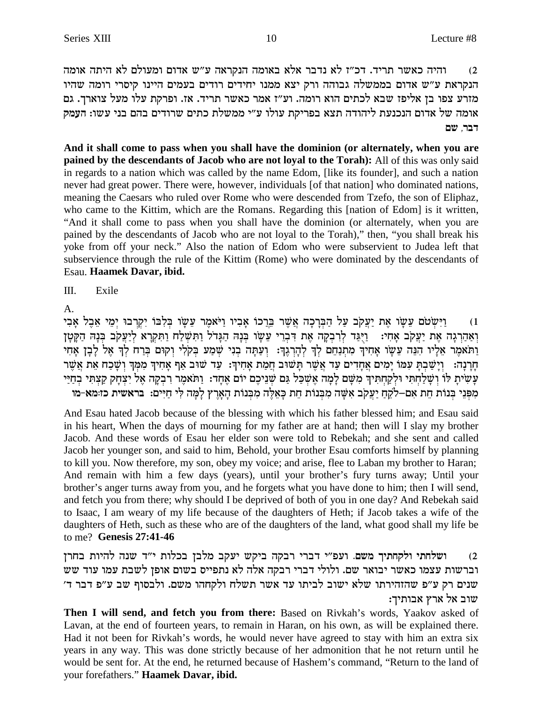והיה כאשר תריד. דכ"ז לא נדבר אלא באומה הנקראה ע"ש אדום ומעולם לא היתה אומה  $(2)$ הנקראת ע"ש אדום בממשלה גבוהה ורק יצא ממנו יחידים רודים בעמים היינו קיסרי רומה שהיו מזרע צפו בן אליפז שבא לכתים הוא רומה. וע"ז אמר כאשר תריד. אז. ופרקת עלו מעל צוארך. גם אומה של אדום הנכנעת ליהודה תצא בפריקת עולו ע"י ממשלת כתים שרודים בהם בני עשו: העמק דבר, שם

And it shall come to pass when you shall have the dominion (or alternately, when you are pained by the descendants of Jacob who are not loyal to the Torah): All of this was only said in regards to a nation which was called by the name Edom, [like its founder], and such a nation never had great power. There were, however, individuals [of that nation] who dominated nations, meaning the Caesars who ruled over Rome who were descended from Tzefo, the son of Eliphaz, who came to the Kittim, which are the Romans. Regarding this [nation of Edom] is it written, "And it shall come to pass when you shall have the dominion (or alternately, when you are pained by the descendants of Jacob who are not loyal to the Torah)," then, "you shall break his yoke from off your neck." Also the nation of Edom who were subservient to Judea left that subservience through the rule of the Kittim (Rome) who were dominated by the descendants of Esau. Haamek Davar, ibid.

 $III.$ Exile

 $\mathsf{A}$ .

וַיִּשְׂטֹם עֵשָׂו אֶת יַעֲקֹב עַל הַבְּרָכָה אֲשֶׁר בֵּרֲכוֹ אָבְיו וַיֹּאמֶר עֵשָׂו בִּלְבּוֹ יִקְרִבוּ יִמֵי אֶבֶל אָבִי  $(1)$ וְאַהַרְגָה אֶת יַעֲקֹב אָחִי: וַיְּגַד לְרִבְקָה אֶת דִּבְרִי עֵשָׂו בְּנָהּ הַגָּדל וַתִּשְׁלַח וַתִּקְרָא לְיַעֲקֹב בְּנָהּ הַקָּטָן וַתֹּאמֶר אֲלֵיו הִנֵּה עֵשָׂו אַחִיךְ מְתִנַחֵם לְךָ לְהָרְגֶךְ: וְעַתָּה בְנִי שְׁמַע בְּקֹלִי וְקוּם בְּרַח לְךָ אֶל לַבְן אַחִי הָרָנָה: וְיָשַׁבְתָּ עִמּוֹ יָמִים אֲחָדִים עַד אֲשֵׁר תָּשׁוּב חֲמַת אָחִיךְ: עַד שׁוּב אַף אָחִיךְ מִמְּךְ וְשָׁכַח אֵת אֲשֵׁר עָשִׂיתַ לוֹ וְשַׁלַחְתִּי וּלְקַחְתִּיךְ מִשָּׁם לַמָּה אֵשְׁכַל גַּם שְׁנֵיכֶם יוֹם אֲחָד: וַתֹּאמֶר רְבְקָה אֵל יִצְחַק קַצְתִּי בְחַיַּי מפני בנות חת אם–לקח יעקב אשה מבנות חת כאלה מבנות הארץ למה לי חיים: בראשית כז:מא-מו

And Esau hated Jacob because of the blessing with which his father blessed him; and Esau said in his heart, When the days of mourning for my father are at hand; then will I slay my brother Jacob. And these words of Esau her elder son were told to Rebekah; and she sent and called Jacob her younger son, and said to him, Behold, your brother Esau comforts himself by planning to kill you. Now therefore, my son, obey my voice; and arise, flee to Laban my brother to Haran; And remain with him a few days (years), until your brother's fury turns away; Until your brother's anger turns away from you, and he forgets what you have done to him; then I will send, and fetch you from there; why should I be deprived of both of you in one day? And Rebekah said to Isaac, I am weary of my life because of the daughters of Heth; if Jacob takes a wife of the daughters of Heth, such as these who are of the daughters of the land, what good shall my life be to me? Genesis 27:41-46

ושלחתי ולקחתיך משם. ועפ"י דברי רבקה ביקש יעקב מלבן בכלות י"ד שנה להיות בחרן  $(2)$ וברשות עצמו כאשר יבואר שם. ולולי דברי רבקה אלה לא נתפייס בשום אופן לשבת עמו עוד שש שנים רק ע"פ שהזהירתו שלא ישוב לביתו עד אשר תשלח ולקחהו משם. ולבסוף שב ע"פ דבר ד' שוב אל ארץ אבותיך:

Then I will send, and fetch you from there: Based on Rivkah's words, Yaakov asked of Lavan, at the end of fourteen years, to remain in Haran, on his own, as will be explained there. Had it not been for Rivkah's words, he would never have agreed to stay with him an extra six years in any way. This was done strictly because of her admonition that he not return until he would be sent for. At the end, he returned because of Hashem's command, "Return to the land of your forefathers." Haamek Davar, ibid.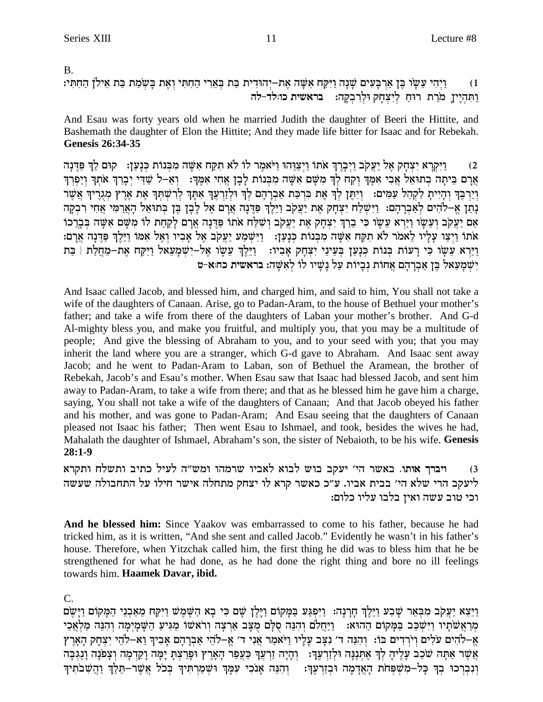### $B<sub>1</sub>$

וַיִּהִי עֵשָׂו בֶּן אַרִבְּעִים שָׁנָה וַיִּקַח אִשָּׁה אֶת–יִהוּדִית בַּת בִּאֵרִי הַחִתִּי וְאֶת בָּשִׂמַת בַּת אֵילן הַחִתִּי:  $(1)$ בראשית כו:לד-לה ותהיין מרת רוח ליצחק ולרבקה:

And Esau was forty years old when he married Judith the daughter of Beeri the Hittite, and Bashemath the daughter of Elon the Hittite; And they made life bitter for Isaac and for Rebekah. **Genesis 26:34-35** 

ויקרא יצחק אל יעקב ויברך אתו ויצוהו ויאמר לו לא תקח אשה מבנות כנען: - קום לך פדנה  $(2)$ ארם ביתה בתואל אבי אמד וקח לך משם אשה מבנות לבן אחי אמד: נא-ל שדי יברך אתר ויפרך וְיַרְכֶּךְ וְהָיִיתָ לִקְהַל עַמִּים: וְיִתֶּן לְךָ אֶת בִּרְכַּת אַבְרָהָם לְךָ וּלְזַרְעֲךָ אִתְךָ לְרִשְׁתְךָ אֶת אֶרֶץ מְגָרֶיךָ אֲשֶׁר נְתַן אֵ–לֹהִים לְאַבְרַהָם: וַיִּשְׁלַח יִצְחָק אֶת יַעֲקֹב וַיֵּלֵךְ פַּדֶּנָה אֲרָם אֵל לַבָן בֵּן בְּתוּאֵל הָאֲרַמִּי אֲחִי רִבְקַה אֵם יַעֲקִב וְעֵשֶׂוּ וַיַּרְא עֵשֶׂוּ כִּי בֵרַךְ יִצְחָק אֶת יַעֲקִב וְשִׁלַּח אֹתוֹ פַּדֶּנָה אֲרָם לְקַחַת לוֹ מִשֶׁם אִשֶּׁה בְּבְרֵכוֹ אתו וַיִצַו עַלִיו לֵאמר לֹא תִקַח אִשָּׁה מִכְּנוֹת כְּנַעֲן: וַיִּשְׁמַע יַעֲקֹב אֵל אֲבִיו וְאֵל אִמוֹ וַיֵּלֵךְ פַּדֶּנָה אֲרָם: וַיַּרְא עֵשָׂו כִּי דַעוֹת בְּנוֹת כִּנָעַן בְעֵינֵי יִצְחָק אָבִיו: - וַיֵּלֵךְ עֵשָׂו אֵל–יִשְׁמַעָאל וַיִּקַח אֶת–מַחֲלַת | בַּת יִשְׁמַעֲאל בֵּן אֲבְרַהָם אֲחוֹת נְבִיוֹת עַל נַשֵּׁיוֹ לוֹ לְאִשָּׁה: בראשית כח:א-ט

And Isaac called Jacob, and blessed him, and charged him, and said to him, You shall not take a wife of the daughters of Canaan. Arise, go to Padan-Aram, to the house of Bethuel your mother's father; and take a wife from there of the daughters of Laban your mother's brother. And G-d Al-mighty bless you, and make you fruitful, and multiply you, that you may be a multitude of people; And give the blessing of Abraham to you, and to your seed with you; that you may inherit the land where you are a stranger, which G-d gave to Abraham. And Isaac sent away Jacob; and he went to Padan-Aram to Laban, son of Bethuel the Aramean, the brother of Rebekah, Jacob's and Esau's mother. When Esau saw that Isaac had blessed Jacob, and sent him away to Padan-Aram, to take a wife from there; and that as he blessed him he gave him a charge, saying, You shall not take a wife of the daughters of Canaan; And that Jacob obeyed his father and his mother, and was gone to Padan-Aram; And Esau seeing that the daughters of Canaan pleased not Isaac his father; Then went Esau to Ishmael, and took, besides the wives he had, Mahalath the daughter of Ishmael, Abraham's son, the sister of Nebaioth, to be his wife. Genesis  $28:1-9$ 

ויברך אותו. באשר הי׳ יעקב בוש לבוא לאביו שרמהו ומש״ה לעיל כתיב ותשלח ותקרא  $(3)$ ליעקב הרי שלא הי׳ בבית אביו. ע״כ כאשר קרא לו יצחק מתחלה אישר חילו על התחבולה שעשה וכי טוב עשה ואין בלבו עליו כלום:

And he blessed him: Since Yaakov was embarrassed to come to his father, because he had tricked him, as it is written, "And she sent and called Jacob." Evidently he wasn't in his father's house. Therefore, when Yitzchak called him, the first thing he did was to bless him that he be strengthened for what he had done, as he had done the right thing and bore no ill feelings towards him. Haamek Davar, ibid.

 $\mathcal{C}$ .

וַיֵּצֵא יַעֲקֹב מִבְּאֵר שָׁבָע וַיֵּלֵךְ חַרַנָה: וַיִּפְגַּע בַּמַּקוֹם וַיַּלֵן שָׁם כִּי בָא הַשֶּׁמֵשׁ וַיִּקַח מֵאַבְנֵי הַמַּקוֹם וַיַּשֵׂם מְרַאֲשֹתָיו וַיִּשְׁכַּב בַּמְקוֹם הַהוּא: וַיַּחֲלֹם וְהִנֵּה סָלָם מִצָּב אַרְצָה וִראשוֹ מַגִּיעַ הַשָּׁמָיִמָה וִהְנֵּה מַלְאֵבִי אֵ–לֹהִים עֹלִים וְיֹרְדִים בּוֹ: וְהִנֵּה ד' נִצָּב עָלָיו וַיֹּאמַר אֲנִי ד' אֵ–לֹהֵי אַבְרָהָם אָבִיךְ וֵא–לֹהֵי יִצְחָק הָאָרֵץ אֲשֶׁר אַתָּה שֹׁבֵב עָלֶיהָ לִךְ אֶתְּנֶנָּה וּלְזַרְעֶךְ: וְהָיָה זַרְעֲךָ כַּעֲפַר הָאָרֶץ וּפָרַצִתָּ יָמָה וָקֵדְמָה וִצָפֹנָה וָנֶגִבָּה וְנִבְרְכוּ בְךָ כָּלְ–מְשִׁפְּחֹת הָאֲדָמָה וּבְזֵרְעֶךָ: 「וְהָנֶה אֲנֹכִי עִמַּךְ וּשָׁמַרְתִּיךְ בְּכֹל אֲשֶׁר–תֵּלֶךְ וַהֲשָׁבֹתִיך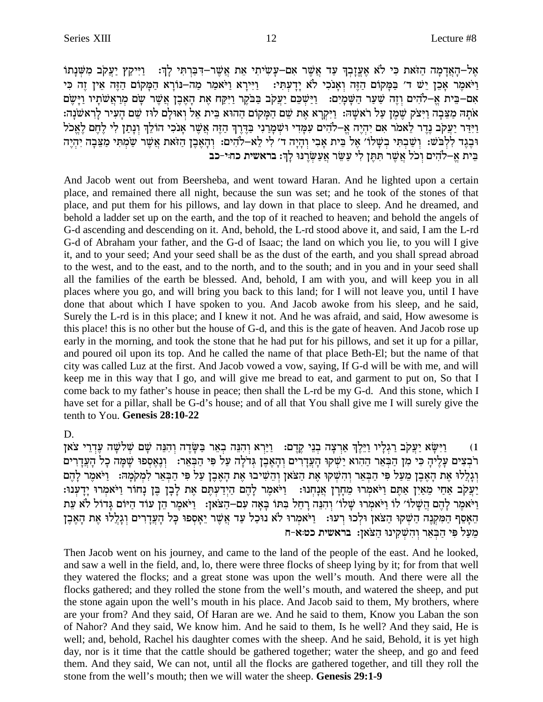אֵל–הָאֲדָמָה הַזֹּאת כִּי לֹא אֵעֲזָבְךָ עַד אֲשֶׁר אִם–עַשִׂיתִי אֵת אֲשֵׁר–דִּבְּרְתִּי לַךְּ: [יִיִּקַץ יַעֲקֹב מִשָּׁנָתוֹ וַיֹּאמֶר אָכֵן יֵשׁ ד' בַּמְקוֹם הַזֶּה וְאָנֹכִי לֹא יָדְעְתִּי: וַיִּירָא וַיֹּאמַר מַה-נּוֹרָא הַמָּקוֹם הַזֶּה אֵין זֶה כִּי אִם–בֵּית אֱ–לֹהִים וְזֶה שַׁעַר הַשָּׁמְיָם: וַיַּשְׁכֵּם יַעֲקֹב בַּבֹּקֶר וַיִּקַח אֶת הָאֶבֶן אֲשֶׁר שָׂם מִרַאֲשֹׁתָיו וַיָּשֵׂם אתה מַצֵּבָה וַיִּצֹק שֶׁמֵן עַל ראשַה: וַיִּקְרָא אֶת שֵׁם הַמַּקוֹם הַהוּא בֵּית אֵל וְאוּלַם לוּז שֵׁם הַעִּיר לַראשֹנָה: וידר יעקב נדר לאמר אם יהיה א–להים עמדי ושמרני בדרך הזה אשר אנכי הולך ונתן לי לחם לאכל וּבֶגֶד לִלְבֹּשׁ: וְשַׁבְתִּי בְשָׁלוֹ׳ אֶל בֵּית אָבִי וְהָיָה ד׳ לִי לֵא–לֹהִים: וְהָאֶבֶן הַזֹּאת אֲשֶׁר שַׁמְתִי מַצֵּבָה יִהְיֶה בִּית אֱ–לֹהִים וְכֹל אֲשֶׁר תִּתֶּן לִי עַשֵּׂר אַעַשַׂרֵנוּ לַךְ: בראשית כחיי-כב

And Jacob went out from Beersheba, and went toward Haran. And he lighted upon a certain place, and remained there all night, because the sun was set; and he took of the stones of that place, and put them for his pillows, and lay down in that place to sleep. And he dreamed, and behold a ladder set up on the earth, and the top of it reached to heaven; and behold the angels of G-d ascending and descending on it. And, behold, the L-rd stood above it, and said, I am the L-rd G-d of Abraham your father, and the G-d of Isaac; the land on which you lie, to you will I give it, and to your seed; And your seed shall be as the dust of the earth, and you shall spread abroad to the west, and to the east, and to the north, and to the south; and in you and in your seed shall all the families of the earth be blessed. And, behold, I am with you, and will keep you in all places where you go, and will bring you back to this land; for I will not leave you, until I have done that about which I have spoken to you. And Jacob awoke from his sleep, and he said, Surely the L-rd is in this place; and I knew it not. And he was afraid, and said, How awesome is this place! this is no other but the house of G-d, and this is the gate of heaven. And Jacob rose up early in the morning, and took the stone that he had put for his pillows, and set it up for a pillar, and poured oil upon its top. And he called the name of that place Beth-El; but the name of that city was called Luz at the first. And Jacob vowed a vow, saying, If G-d will be with me, and will keep me in this way that I go, and will give me bread to eat, and garment to put on, So that I come back to my father's house in peace; then shall the L-rd be my G-d. And this stone, which I have set for a pillar, shall be G-d's house; and of all that You shall give me I will surely give the tenth to You. Genesis 28:10-22

D.

וַיִּשָׂא יַעֲקֹב רַגְלַיו וַיֵּלֵךְ אַרִצָה בְנֵי קֵדֵם: - וַיַּרָא וְהִנֶּה בְאֵר בַּשַּׂדֵה וְהָנֶה שָׁם שְׁלֹשָׁה עֲדָרֵי צֹאן  $(1)$ רֹבְצִים עַלֵיהָ כִּי מִן הַבְּאֵר הַהְוֹא יַשְׁקוּ הַעֲדָרִים וְהָאֵבֶן גִּדֹלָה עַל פִּי הַבְּאֵר: וְנָאֵסְפוּ שָׁמָה כָל הָעֲדָרִים וְגַלֵלוּ אֶת הַאֲבֵן מֵעֲל פִּי הַבְּאֵר וְהִשָּׁקוּ אֶת הַצֹּאן וְהֵשִׁיבוּ אֶת הַאֲבֵן עַל פִּי הַבְּאֵר לְמִקְמַהּ: [יֹּאמֶר לַהֵם יַעֲקֹב אַחַי מֵאֵין אַתֵּם וַיֹּאמְרוּ מֵחַרַן אֲנַחְנוּ: וַיֹּאמֶר לַהֵם הַיִּדְעְתֵּם אֶת לַבָן בֵּן נַחוֹר וַיֹּאמְרוּ יַדְעְנוּ: .<br>וַיֹּאמֶר לָהֶם הַשָּׁלוֹ׳ לוֹ וַיֹּאמְרוּ שָׁלוֹ׳ וְהִנֵּה רְחֵל בִּתוֹ בָאָה עִם–הַצֹּאזָ: [יִיֹּאמֶר הֵן עוד הַיּוֹם גָּדוֹל לֹא עֵת הֵאָסֵף הַמִּקְנֵה הַשִּׁקוּ הַצֹּאַן וּלְכוּ רִעוּ: [יֹאמִרוּ לֹא נוּכַל עַד אֲשֵׁר יֵאָסִפוּ כָּל הָעֲדָרִים וְגָלֵלוּ אֶת הָאֵבֵן מֵעַל פִּי הַבִּאֵר וְהָשָׁקִינוּ הַצֹּאַן: בראשית כט:א-ח

Then Jacob went on his journey, and came to the land of the people of the east. And he looked, and saw a well in the field, and, lo, there were three flocks of sheep lying by it; for from that well they watered the flocks; and a great stone was upon the well's mouth. And there were all the flocks gathered; and they rolled the stone from the well's mouth, and watered the sheep, and put the stone again upon the well's mouth in his place. And Jacob said to them, My brothers, where are your from? And they said, Of Haran are we. And he said to them, Know you Laban the son of Nahor? And they said, We know him. And he said to them, Is he well? And they said, He is well; and, behold, Rachel his daughter comes with the sheep. And he said, Behold, it is yet high day, nor is it time that the cattle should be gathered together; water the sheep, and go and feed them. And they said, We can not, until all the flocks are gathered together, and till they roll the stone from the well's mouth; then we will water the sheep. Genesis 29:1-9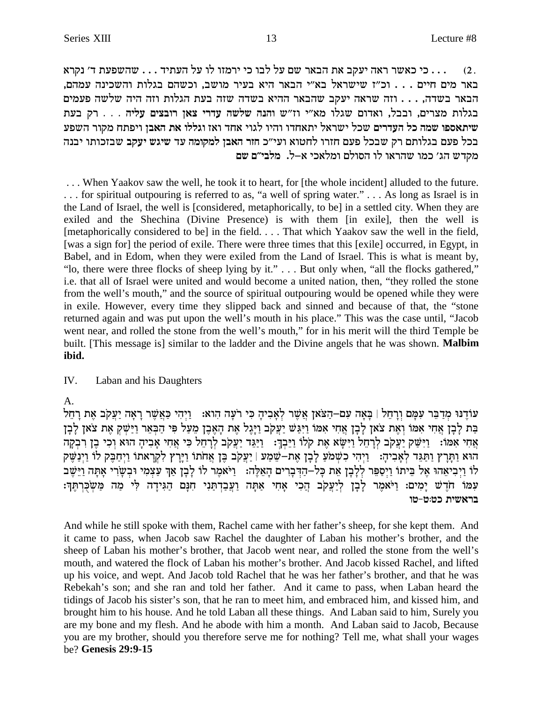... כי כאשר ראה יעקב את הבאר שם על לבו כי ירמזו לו על העתיד ... שהשפעת ד׳ נקרא  $(2)$ . באר מים חיים . . . וכ"ז שישראל בא"י הבאר היא בעיר מושב, וכשהם בגלות והשכינה עמהם, הבאר בשדה, . . . וזה שראה יעקב שהבאר ההיא בשדה שזה בעת הגלות וזה היה שלשה פעמים בגלות מצרים, ובבל, ואדום שגלו מא"י וז"ש והנה שלשה עדרי צאן רובצים עליה . . . . רק בעת שיתאספו שמה כל העדרים שכל ישראל יתאחדו והיו לגוי אחד ואז וגללו את האבן ויפתח מקור השפע בכל פעם בגלותם רק שבכל פעם חזרו לחטוא ועי״כ חזר האבן למקומה עד שיגש יעקב שבזכותו יבנה מקדש הג' כמו שהראו לו הסולם ומלאכי א–ל. מלבי״ם שם

... When Yaakov saw the well, he took it to heart, for [the whole incident] alluded to the future. ... for spiritual outpouring is referred to as, "a well of spring water." ... As long as Israel is in the Land of Israel, the well is [considered, metaphorically, to be] in a settled city. When they are exiled and the Shechina (Divine Presence) is with them [in exile], then the well is [metaphorically considered to be] in the field. . . . That which Yaakov saw the well in the field, [was a sign for] the period of exile. There were three times that this [exile] occurred, in Egypt, in Babel, and in Edom, when they were exiled from the Land of Israel. This is what is meant by, "lo, there were three flocks of sheep lying by it." . . . But only when, "all the flocks gathered," i.e. that all of Israel were united and would become a united nation, then, "they rolled the stone from the well's mouth," and the source of spiritual outpouring would be opened while they were in exile. However, every time they slipped back and sinned and because of that, the "stone" returned again and was put upon the well's mouth in his place." This was the case until, "Jacob went near, and rolled the stone from the well's mouth," for in his merit will the third Temple be built. [This message is] similar to the ladder and the Divine angels that he was shown. Malbim ibid.

#### IV. Laban and his Daughters

 $A_{\cdot}$ 

עוֹדֵנוּ מְדַבֵּר עִמָּם וְרָחֵל | בָּאָה עִם–הַצֹּאן אֲשֵׁר לְאָבִיהָ כִּי רֹעָה הָוא: - וַיְהִי כַּאֲשֵׁר רָאָה יַעֲקֹב אֶת רָחֵל בַּת לָבְן אֲחִי אִמּוֹ וְאֶת צֹאן לָבְן אֲחִי אִמּוֹ וַיִּגַּשׁ יַעֲקִב וַיְּגֶל אֶת הָאֶבֶן מֵעַל פִּי הַבִּאֵר וַיַּשָׁקְ אֶת צֹאן לָבְן אֲחִי אִמּוֹ: וַיִּשָּׁק יַעֲקֹב לְרָחֵל וַיִּשָׂא אֶת קֹלוֹ וַיֵּבְךָ: וַיַּגֵּד יַעֲקֹב לְרָחֵל כִּי אֲחִי אָבִיהָ הוּא וְכִי בֵן וִרְבְקָה הוּא וַתְּרָץ וַתַּגֵּד לְאָבִיהָ: 「וַיִּהִי כִשְׁמֹעַ לָבָן אֶת–שֵׁמַע | יַעֲקֹב בֶּן אֲחֹתוֹ וַיָּרֶץ לִקְרָאתוֹ וַיִּחַבֶּק לוֹ וַיִּנַשֶּׁק לו וַיְבִיאֵהוּ אֶל בֵּיתוּ וַיְסַפֵּר לְלָבָן אֵת כָּל-הַדְּבָרִים הָאֵלֶה: וַיֹּאמֶר לוֹ לָבָן אַךְ עַצְמִי וּבְשָׂרִי אָתָה וַיֵּשֶׁב עמו חֹדֶשׁ יָמִים: וַיֹּאמֶר לָבְן לְיַעֲקֹב הֲכִי אָחִי אַתָּה וַעֲבַדְתַּנִי חִנְם הַגִּידָה לִי מַה מַשְׁכֻּרְתֶּךְ: בראשית כט:ט-טו

And while he still spoke with them, Rachel came with her father's sheep, for she kept them. And it came to pass, when Jacob saw Rachel the daughter of Laban his mother's brother, and the sheep of Laban his mother's brother, that Jacob went near, and rolled the stone from the well's mouth, and watered the flock of Laban his mother's brother. And Jacob kissed Rachel, and lifted up his voice, and wept. And Jacob told Rachel that he was her father's brother, and that he was Rebekah's son; and she ran and told her father. And it came to pass, when Laban heard the tidings of Jacob his sister's son, that he ran to meet him, and embraced him, and kissed him, and brought him to his house. And he told Laban all these things. And Laban said to him, Surely you are my bone and my flesh. And he abode with him a month. And Laban said to Jacob, Because you are my brother, should you therefore serve me for nothing? Tell me, what shall your wages be? Genesis 29:9-15

13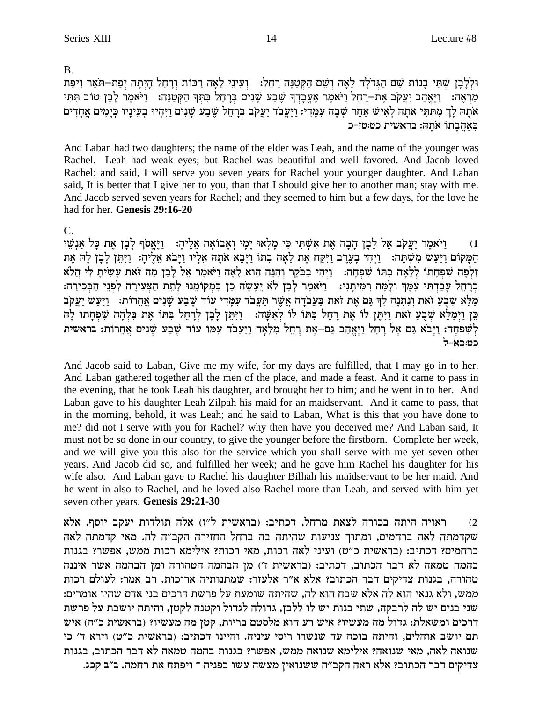$B<sub>1</sub>$ 

וּלְלַבַן שָׁתֵּי בַנוֹת שֵׁם הַגִּדֹלָה לָאֲה וְשֵׁם הַקִּטְנַּה רַחֲל: \_ וִעֲינֵי לֵאֲה רַכּוֹת וְרַחֲל הַיִתַּה יִפַּת–תֹּאֵר וְיפַת מַרְאָה: נַיֵּאֱהַב יַעֲקֹב אֶת –דְהֶל וַיֹּאמֶר אֶעֱבְדְךָ שֶׁבַע שָׁנִים בְּרָהֵל בִּתְּךָ הַקְטַנָּה: נַיֹּאמֶר לָבָן טוֹב תִּתִּי אֹתָהּ לְךְ מִתְּתִּי אֹתָהּ לְאִישׁ אַחֵר שִׁבָה עִמְּדִי: וַיַּעֲבֹד יַעֲקֹב בְּרָחֵל שֶׁבַע שָׁנִים וַיִּהִיוּ בִעֵינָיו כִּיָמִים אֲחָדִים באהבתו אתה: בראשית כטיטו-כ

And Laban had two daughters; the name of the elder was Leah, and the name of the younger was Rachel. Leah had weak eyes; but Rachel was beautiful and well favored. And Jacob loved Rachel; and said, I will serve you seven years for Rachel your younger daughter. And Laban said, It is better that I give her to you, than that I should give her to another man; stay with me. And Jacob served seven years for Rachel; and they seemed to him but a few days, for the love he had for her. Genesis 29:16-20

 $C_{\cdot}$ 

וַיֹּאמֶר יַעֲקֹב אֱל לַבָן הָבָה אֶת אִשְׁתִּי כִּי מַלְאוּ יָמַי וְאֲבוֹאָה אֱלֵיהָ: וַיֵּאֱסֹף לַבָן אֶת כָּל אַנְשֵׁי  $(1)$ הַמַּקוֹם וַיַּעֲשׂ מִשְׁתֵּה: [יַיִּהִי בִעֲרֶב וַיִּקֵח אֶת לֵאֲה בְתּוֹ וַיָּבֵא אֹתָה אָלָיוּ וַיַּבֹּא אָלֶיהָ: וַיִּתֵּן לַבְן לַה אֶת זְלְפָּה שִׁפְחָתוֹ לְלֵאָה בְתוֹ שִׁפְחָה: וַיִּהִי בַבֹּקֵר וְהִנֵּה הִוא לֵאָה וַיֹּאמֵר אֵל לַבָן מַה זֹאת עַשִׂיתַ לִּי הֲלֹא בְרַחֵל עַבְרָתִּי עַמַּךְ וַלַמַּה רִמִּיתַנִי: - וַיֹּאמֶר לַבָן לֹא יַעֲשֶׂה כֵן בִּמְקוֹמֵנוּ לַתְת הַצִּעִירָה לִפְנֵי הַבִּכְירַה: מַלֹּא שִׁבְעַ זֹאת ונתּנָה לךְ גַם אֶת זֹאת בַּעֲבֹדָה אָשֶׁר תַּעֲבֹד עַמֲדִי עוֹד שֶׁבַע שַׁנִים אֲחֲרוֹת: וַיַּעֲשׂ יַעֲקֹב כּוֹ וַיִּמַלֵּא שִׁבְעַ זאת וַיִּתֵּן לוֹ אֵת רָחֵל בִּתוֹ לוֹ לְאִשָּׁה: - וַיִּתֵּן לְבָן לְרָחֵל בִתּוֹ אֶת בִּלְהָה שִׁפִּחָתוֹ לָה לְשִׁפְחָה: וַיָּבֹא גֵם אֵל רַחְל וַיִּאֲהָב גַם–אֶת רַחָל מִלָּאָה וַיַּעֲבֹד עִמּוֹ עוֹד שֶׁבַע שָׁנִים אַחְרוֹת: בראשית רמ:כא-ל

And Jacob said to Laban, Give me my wife, for my days are fulfilled, that I may go in to her. And Laban gathered together all the men of the place, and made a feast. And it came to pass in the evening, that he took Leah his daughter, and brought her to him; and he went in to her. And Laban gave to his daughter Leah Zilpah his maid for an maidservant. And it came to pass, that in the morning, behold, it was Leah; and he said to Laban, What is this that you have done to me? did not I serve with you for Rachel? why then have you deceived me? And Laban said, It must not be so done in our country, to give the younger before the firstborn. Complete her week, and we will give you this also for the service which you shall serve with me yet seven other years. And Jacob did so, and fulfilled her week; and he gave him Rachel his daughter for his wife also. And Laban gave to Rachel his daughter Bilhah his maidservant to be her maid. And he went in also to Rachel, and he loved also Rachel more than Leah, and served with him yet seven other years. Genesis 29:21-30

ראויה היתה בכורה לצאת מרחל, דכתיב: (בראשית ל"ז) אלה תולדות יעקב יוסף, אלא  $(2)$ שקדמתה לאה ברחמים, ומתוך צניעות שהיתה בה ברחל החזירה הקב"ה לה. מאי קדמתה לאה ברחמים? דכתיב: (בראשית כ"ט) ועיני לאה רכות, מאי רכות? אילימא רכות ממש, אפשר? בגנות בהמה טמאה לא דבר הכתוב, דכתיב: (בראשית ז') מן הבהמה הטהורה ומן הבהמה אשר איננה טהורה, בגנות צדיקים דבר הכתוב? אלא א"ר אלעזר: שמתנותיה ארוכות. רב אמר: לעולם רכות ממש, ולא גנאי הוא לה אלא שבח הוא לה, שהיתה שומעת על פרשת דרכים בני אדם שהיו אומרים: שני בנים יש לה לרבקה, שתי בנות יש לו ללבן, גדולה לגדול וקטנה לקטן, והיתה יושבת על פרשת דרכים ומשאלת: גדול מה מעשיו? איש רע הוא מלסטם בריות, קטן מה מעשיו? (בראשית כ"ה) איש תם יושב אוהלים, והיתה בוכה עד שנשרו ריסי עיניה. והיינו דכתיב: (בראשית כ"ט) וירא ד' כי שנואה לאה, מאי שנואה? אילימא שנואה ממש, אפשר? בגנות בהמה טמאה לא דבר הכתוב, בגנות צדיקים דבר הכתוב? אלא ראה הקב"ה ששנואין מעשה עשו בפניה ־ ויפתח את רחמה. ב"ב קכג.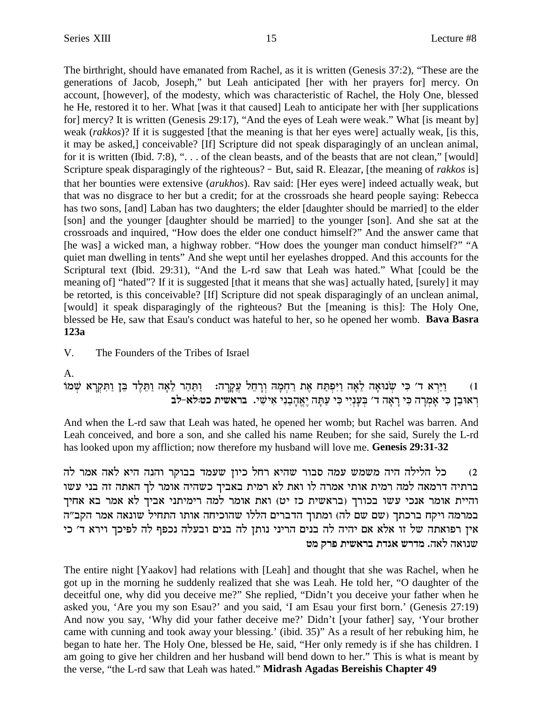The birthright, should have emanated from Rachel, as it is written (Genesis 37:2), "These are the generations of Jacob, Joseph," but Leah anticipated [her with her prayers for] mercy. On account, [however], of the modesty, which was characteristic of Rachel, the Holy One, blessed he He, restored it to her. What [was it that caused] Leah to anticipate her with [her supplications for] mercy? It is written (Genesis 29:17), "And the eyes of Leah were weak." What [is meant by] weak (*rakkos*)? If it is suggested [that the meaning is that her eyes were] actually weak, [is this, it may be asked,] conceivable? [If] Scripture did not speak disparagingly of an unclean animal, for it is written (Ibid. 7:8), ". . . of the clean beasts, and of the beasts that are not clean," [would] Scripture speak disparagingly of the righteous? **-** But, said R. Eleazar, [the meaning of *rakkos* is] that her bounties were extensive (*arukhos*). Rav said: [Her eyes were] indeed actually weak, but that was no disgrace to her but a credit; for at the crossroads she heard people saying: Rebecca has two sons, [and] Laban has two daughters; the elder [daughter should be married] to the elder [son] and the younger [daughter should be married] to the younger [son]. And she sat at the crossroads and inquired, "How does the elder one conduct himself?" And the answer came that [he was] a wicked man, a highway robber. "How does the younger man conduct himself?" "A quiet man dwelling in tents" And she wept until her eyelashes dropped. And this accounts for the Scriptural text (Ibid. 29:31), "And the L-rd saw that Leah was hated." What [could be the meaning of] "hated"? If it is suggested [that it means that she was] actually hated, [surely] it may be retorted, is this conceivable? [If] Scripture did not speak disparagingly of an unclean animal, [would] it speak disparagingly of the righteous? But the [meaning is this]: The Holy One, blessed be He, saw that Esau's conduct was hateful to her, so he opened her womb. **Bava Basra 123a**

V. The Founders of the Tribes of Israel

### A.

FnWß `x®wß Y¶ e© oA• cl§ Y• e© d`® l• xd© Y© e© :dx®w® r£ lg• x®eß Dn® gß x© z`§ gY© tß I¶e© d`® l• d`® Epoyß iM¶ 'c `xßI©e© (1 רְאוּבֵן כִּי אָמְרָה כִּי רָאָה ד׳ בְּעָנְיִי כִּי עַתָּה יֶאֱהָבַנִי אִישִׁי**. בראשית כט:לא-לב** 

And when the L-rd saw that Leah was hated, he opened her womb; but Rachel was barren. And Leah conceived, and bore a son, and she called his name Reuben; for she said, Surely the L-rd has looked upon my affliction; now therefore my husband will love me. **Genesis 29:31-32**

0) כל הלילה היה משמש עמה סבור שהיא רחל כיון שעמד בבוקר והנה היא לאה אמר לה ברתיה דרמאה למה רמית אותי אמרה לו ואת לא רמית באביך כשהיה אומר לך האתה זה בני עשו והיית אומר אנכי עשו בכורך (בראשית כז יט) ואת אומר למה רימיתני אביך לא אמר בא אחיך במרמה ויקח ברכתך (שם שם לה) ומתוך הדברים הללו שהוכיחה אותו התחיל שונאה אמר הקב"ה אין רפואתה של זו אלא אם יהיה לה בנים הריני נותן לה בנים ובעלה נכפף לה לפיכך וירא ד׳ כי **hn wxt ziy`xa zcb` yxcn** .d`l d`epy

The entire night [Yaakov] had relations with [Leah] and thought that she was Rachel, when he got up in the morning he suddenly realized that she was Leah. He told her, "O daughter of the deceitful one, why did you deceive me?" She replied, "Didn't you deceive your father when he asked you, 'Are you my son Esau?' and you said, 'I am Esau your first born.' (Genesis 27:19) And now you say, 'Why did your father deceive me?' Didn't [your father] say, 'Your brother came with cunning and took away your blessing.' (ibid. 35)" As a result of her rebuking him, he began to hate her. The Holy One, blessed be He, said, "Her only remedy is if she has children. I am going to give her children and her husband will bend down to her." This is what is meant by the verse, "the L-rd saw that Leah was hated."**Midrash Agadas Bereishis Chapter 49**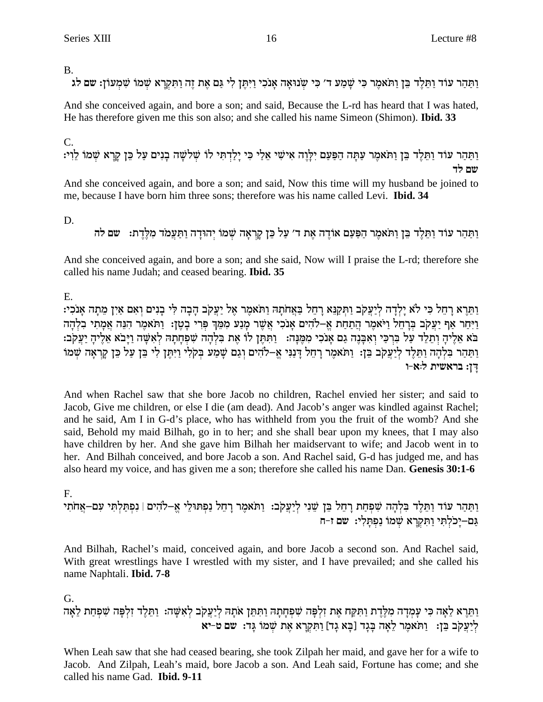$B<sub>1</sub>$ 

וַתַּהַר עוֹד וַתַּלֵד בֵּן וַתֹּאמֶר כִּי שַׁמֲע ד' כִּי שִׂנוּאַה אֲנֹכִי וַיִּתֵּן לִי גַּם אֶת זֶה וַתִּקְרָא שִׁמֹוֹ שַׁמְעוֹן: שם לֹג

And she conceived again, and bore a son; and said, Because the L-rd has heard that I was hated, He has therefore given me this son also; and she called his name Simeon (Shimon). **Ibid. 33** 

# $C_{\cdot}$

ותהר עוד ותלד בן ותאמר עתה הפעם ילוה אישי אלי כי ילדתי לו שלשה בנים על כן קרא שמו לוי: שם לד

And she conceived again, and bore a son; and said, Now this time will my husband be joined to me, because I have born him three sons: therefore was his name called Levi. **Ibid. 34** 

D.

וַתַּהֵר עוֹד וַתֵּלֶד בֵּן וַתֹּאמֵר הַפַּעַם אוֹדֶה אֶת ד׳ עַל כֵּן קַרְאַה שָׁמוֹ יְהוּדַה וַתַּעֲמֹד מְלֶדֶת: "שם לה

And she conceived again, and bore a son; and she said, Now will I praise the L-rd; therefore she called his name Judah; and ceased bearing. Ibid. 35

E.

וַתֵּרֵא רַחֵל כִּי לֹא יַלְדָה לְיַעֲקֹב וַתִּקַנֵּא רַחֵל בַּאֲחֹתָהּ וַתֹּאמֶר אֵל יַעֲקֹב הַבָה לִּי בַנִים וְאִם אַיִן מֵתָה אַנֹכִי: וַיְּחַר אַף יַעֲקֹב בְּרַחֵל וַיֹּאמֶר הַתַּחַת אֶ–לֹהִים אֲנֹכִי אֲשֶׁר מַנֵּע מִמֶּךְ פְּרֵי בַטֶן: וַתֹּאמֶר הַנֶּה אֲמַתִי בְלָהָה בא אֱלִיהָ וְתֵלֶד עַל בְּרְכַּי וְאִבְּנֵה גַם אֲנֹכִי מְמֵנָּה: - וַתְּתֵּן לוֹ אֶת בְּלְהָה שִׁפְחַתָּה לְאִשָּׁה וַיַּבֹא אֲלֵיהָ יַעֲקֹב: וַתַּהַר בִּלְהָה וַתֵּלֶד לְיַעֲקִב בֵּן: וַתֹּאמֶר רָהֵל דָּנַנִּי אֶ–לֹהִים וְגַם שָׁמַע בִּקְלִי וַיִּתֵן לִי בֵּן עַל כֵּן קַרְאַה שֹׁמוֹ דן: בראשית ל:א-ו

And when Rachel saw that she bore Jacob no children, Rachel envied her sister; and said to Jacob, Give me children, or else I die (am dead). And Jacob's anger was kindled against Rachel; and he said, Am I in G-d's place, who has withheld from you the fruit of the womb? And she said, Behold my maid Bilhah, go in to her; and she shall bear upon my knees, that I may also have children by her. And she gave him Bilhah her maidservant to wife; and Jacob went in to her. And Bilhah conceived, and bore Jacob a son. And Rachel said, G-d has judged me, and has also heard my voice, and has given me a son; therefore she called his name Dan. Genesis 30:1-6

# F.

וַתַּהַר עוֹד וַתֵּלֶד בִּלְהָה שִׁפְחַת רָהֵל בֵּן שֵׁנִי לְיַעֲקֹב: וַתֹּאמֶר רָהֵל נַפִתּוּלֵי אֵ–לֹהִים|נִפִתַּלְתִּי עִם–אֲחֹתִי גַם–יָכֹלְתִי וַתִּקְרָא שִׁמוֹ נַפְתָּלִי: שם ז-ח

And Bilhah, Rachel's maid, conceived again, and bore Jacob a second son. And Rachel said, With great wrestlings have I wrestled with my sister, and I have prevailed; and she called his name Naphtali. Ibid. 7-8

# G.

וַתֵּרֶא לֵאָה כִּי עָמְדָה מִלֶּדֶת וַתִּקַח אֶת זִלְפָּה שִׁפְחָתָהּ וַתִּתֵן אֹתָהּ לְיַעֲקֹב לְאִשָּׁה: וַתֵּלֶד זִלְפָּה שִׁפְחַת לֵ<mark>א</mark>ָה ליעקב בן: ותאמר לאה בגד [בא גד] ותקרא את שמו גד: שם ט-יא

When Leah saw that she had ceased bearing, she took Zilpah her maid, and gave her for a wife to Jacob. And Zilpah, Leah's maid, bore Jacob a son. And Leah said, Fortune has come; and she called his name Gad. Ibid. 9-11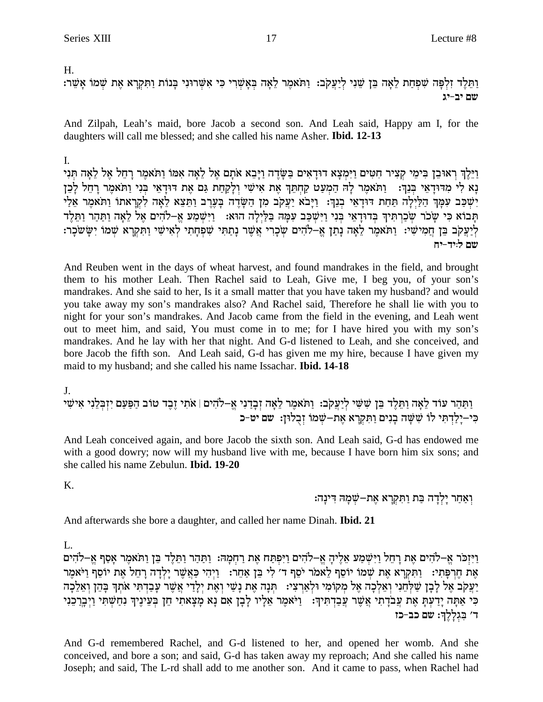$H_{\cdot}$ 

וַתֲלֵד זְלִפָּה שִׁפְחַת לֵאָה בֵּן שֵׁנִי לְיַעֲקֹב: וַתֹּאמֶר לֵאָה בְּאַשְׁרִי כִּי אִשְׁרוּנִי בַּנוֹת וַתְּקְרָא אֶת שִׁמֹוֹ אַשֵּׁר: שם יב-יג

And Zilpah, Leah's maid, bore Jacob a second son. And Leah said, Happy am I, for the daughters will call me blessed; and she called his name Asher. **Ibid. 12-13** 

I.

וַיֵּלֶךְ רְאוּבֵן בִּימֵי קְצִיר חָטִים וַיִּמְצָא דוּדָאִים בַּשָּׂדֶה וַיָּבֵא אֹתָם אֶל לֵאָה אִמּוֹ וַתֹּאמֵר וַחֵל אֵל לֵאָה תִּנִי נַא לִי מדודַאֵי בִּנֵךְ: " וַתֹּאמֶר לַה הַמְעַט קַחָתֶךְ אֶת אִישִׁי וְלַקְחָת גַּם אֶת דוּדָאֵי בְּנִי וַתֹּאמֶר רַחֶל לַכֶן יְשִׁכָּב עִמָּךְ הַלַּיְלָה תַּחַת דוּדָאֵי בְנֵךְ: וַיָּבֹא יַעֲקֹב מִן הַשָּׂדֵה כַּעֲרֶב וַתֲצֵא לֵאֲה לְקִרָאתו וַתֹּאמֶר אֶלַי תְּבוֹא כִּי שָׂכֹר שְׂכַרְתִּיךְ בְּדוּדָאֵי בְּנִי וַיִּשְׁכַּב עִמָּה בַּלַיְלָה הוּא: וַיִּשְׁמַע אֵ–לֹהִים אֵל לָאָה וַתַּהַר וַתֵּלִד לִיַעֲקֹב בֵּן חֲמִישִׁי: וַתֹּאמֵר לָאָה נַתַן אֵ–לֹהִים שִׂכְרִי אֲשֶׁר נַתַתִּי שִׁפְחַתִי לְאִישִׁי וַתְּקְרָא שִׁמֹוֹ יַשַּׂשֹׁכָר: שם ליד-יח

And Reuben went in the days of wheat harvest, and found mandrakes in the field, and brought them to his mother Leah. Then Rachel said to Leah, Give me, I beg you, of your son's mandrakes. And she said to her, Is it a small matter that you have taken my husband? and would you take away my son's mandrakes also? And Rachel said, Therefore he shall lie with you to night for your son's mandrakes. And Jacob came from the field in the evening, and Leah went out to meet him, and said, You must come in to me; for I have hired you with my son's mandrakes. And he lay with her that night. And G-d listened to Leah, and she conceived, and bore Jacob the fifth son. And Leah said, G-d has given me my hire, because I have given my maid to my husband; and she called his name Issachar. **Ibid. 14-18** 

וַתַּהַר עוֹד לֵאָה וַתֵּלֶד בֵּן שִׁשִּׁי לְיַעֲקֹב: וַתֹּאמֶר לֵאָה זְבְדַנִי אֱ–לֹהִים | אֹתִי זֶבֶד טוֹב הַפַּעַם יִזְבְּלֵנִי אִישִׁי כִּי-יָלַדְתִּי לוֹ שִׁשָּׁה בָנִים וַתִּקְרָא אֵת-שמוֹ זִבְלוּן: שם יט-כ

And Leah conceived again, and bore Jacob the sixth son. And Leah said, G-d has endowed me with a good dowry; now will my husband live with me, because I have born him six sons; and she called his name Zebulun. **Ibid. 19-20** 

K.

ואחר ילדה בת ותקרא את–שמה דינה:

And afterwards she bore a daughter, and called her name Dinah. **Ibid. 21** 

L.

ויזכר א–להים את רחל וישמע אליה א–להים ויפתח את רחמה: ותהר ותלד בן ותאמר אסף א–להים את חרפתי: נתקרא את שמו יוסף לאמר יסף ד׳ לי בן אחר: ניהי כאשר ילדה רחל את יוסף ניאמר יעקב אל לבן שלחני ואלכה אל מקומי ולארצי: | תנה את נשי ואת ילדי אשר עבדתי אתך בהן ואלכה ּכִּי אַתָּה יָדַעְתָּ אֶת עֲבֹדֶתִי אֲשֶׁר עֲבַדְתִּיךְ: [יֹּאמֶר אֵלְיו לְבָן אִם נָא מָצָאתי חֵן בְּעֵינֶיךְ נִחַשְׁתִּי וַיְבְרַבֵנִי ד׳ בִּגְלָלֶךְ: שם כב-כז

And G-d remembered Rachel, and G-d listened to her, and opened her womb. And she conceived, and bore a son; and said, G-d has taken away my reproach; And she called his name Joseph; and said, The L-rd shall add to me another son. And it came to pass, when Rachel had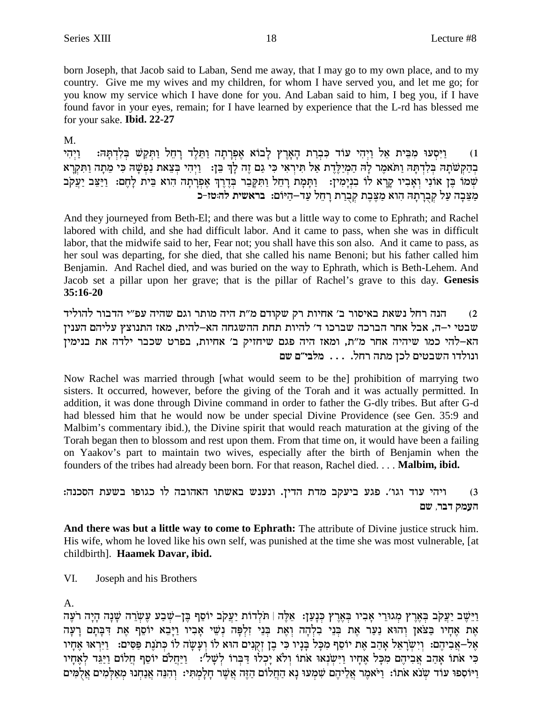born Joseph, that Jacob said to Laban, Send me away, that I may go to my own place, and to my country. Give me my wives and my children, for whom I have served you, and let me go; for you know my service which I have done for you. And Laban said to him, I beg you, if I have found favor in your eyes, remain; for I have learned by experience that the L-rd has blessed me for your sake. Ibid. 22-27

 $M_{\cdot}$ 

וַיִּסְעוּ מִבֵּית אֵל וַיְהִי עוֹד כִּבְרַת הָאָרֶץ לָבוֹא אֶפְרָתָה וַתֵּלֵד רָחֵל וַתִּקַשׁ בִּלְדִתַּהּ: ויהי  $(1)$ בְהַקְשֹׁתָהּ בְּלְדְתָּהּ וַתֹּאמֶר לַהּ הַמְיַלֵּדֵת אַל תִּירְאִי כִּי גַם זֶה לַךְ בֵּן: - וַיְהִי בִּצֵאת נַפְשָׁהּ כִּי מֵתַה וַתִּקְרַא שִׁמֹוֹ כֵּן אוֹנִי וְאַבְיוּ קַרָא לוֹ בְנִיַמְין: וַתַּמַת רַחֲל וַתִּקְבֶר בְּדֶרֶךְ אֶפְרַתָה הוא כֵּית לַחֵם: וַיַּצֵּב יַעֲקֹב מַצֵּבַה עַל קִבְרַתַהּ הוא מַצֵּבֵת קִבְרַת רַחֲל עַד–הַיּוֹם: בראשית להּטּז-כ

And they journeyed from Beth-El; and there was but a little way to come to Ephrath; and Rachel labored with child, and she had difficult labor. And it came to pass, when she was in difficult labor, that the midwife said to her, Fear not; you shall have this son also. And it came to pass, as her soul was departing, for she died, that she called his name Benoni; but his father called him Benjamin. And Rachel died, and was buried on the way to Ephrath, which is Beth-Lehem. And Jacob set a pillar upon her grave; that is the pillar of Rachel's grave to this day. Genesis  $35:16-20$ 

הנה רחל נשאת באיסור ב' אחיות רק שקודם מ"ת היה מותר וגם שהיה עפ"י הדבור להוליד  $(2)$ שבטי י–ה, אבל אחר הברכה שברכו ד׳ להיות תחת ההשגחה הא–להית, מאז התנוצץ עליהם הענין .<br>הא–להי כמו שיהיה אחר מ"ת, ומאז היה פגם שיחזיק ב' אחיות, בפרט שכבר ילדה את בנימין ונולדו השבטים לכן מתה רחל. . . . מלבי"ם שם

Now Rachel was married through [what would seem to be the] prohibition of marrying two sisters. It occurred, however, before the giving of the Torah and it was actually permitted. In addition, it was done through Divine command in order to father the G-dly tribes. But after G-d had blessed him that he would now be under special Divine Providence (see Gen. 35:9 and Malbim's commentary ibid.), the Divine spirit that would reach maturation at the giving of the Torah began then to blossom and rest upon them. From that time on, it would have been a failing on Yaakov's part to maintain two wives, especially after the birth of Benjamin when the founders of the tribes had already been born. For that reason, Rachel died. . . . **Malbim, ibid.** 

```
ויהי עוד וגו׳. פגע ביעקב מדת הדין. ונענש באשתו האהובה לו כגופו בשעת הסכנה:
                                                                    (3)העמק דבר, שם
```
And there was but a little way to come to Ephrath: The attribute of Divine justice struck him. His wife, whom he loved like his own self, was punished at the time she was most vulnerable, [at childbirth]. Haamek Davar, ibid.

VI. Joseph and his Brothers

 $A<sub>1</sub>$ 

וַיֵּשֵׁב יַעֲקֹב בִּאֲרֵץ מְגוּרֵי אָבִיו בִּאֲרֵץ כִּנָעַן: אֵלֵה | תֹּלְדוֹת יַעֲקֹב יוֹסֵף בֵּן–שִׁבַע עֵשְׂרֵה שָׁנָה הָיָה רֹעֵה אֶת אֶחָיו בַּצֹאַן וְהוּא נַעַר אֶת בְּנֵי בְלְהָה וְאֶת בְּנֵי זְלְפָּה נְשֵׁי אָבְיו וַיַּבֵא יוֹסֵף אֶת דִּבָּתָם רַעָה אֶל-אֲבִיהֶם: וְיִשְׂרָאֵל אָהַב אֶת יוֹסֵף מִכָּל בָּנָיו כִּי בֶן זִקְנִים הוּא לוֹ וִעָּשָׂה לוֹ כִּתֹנֵת פִּסִּים: [יִיִרְאוּ אֶחַיו כִּי אֹתוֹ אַהָב אֲבִיהֶם מִכָּל אֶחִיו וַיִּשְׂנָאוּ אֹתוֹ וְלֹא יַכְלוּ דַּבְרוֹ לִשָּׁלֹ׳: [יַיַּחֲלֹם יוֹסֵף חֲלוֹם וַיַּגֵּד לְאֶחִיו וַיוֹסְפוּ עוֹד שִׁנֹא אֹתוֹ: וַיֹּאמֶר אֲלֵיהֶם שִׁמְעוּ נַא הַחֲלוֹם הַזֶּה אֲשֶׁר חַלַמְתִּי: וְהִנֵּה אֲנַחְנוּ מְאַלְמִים אֲלְמִים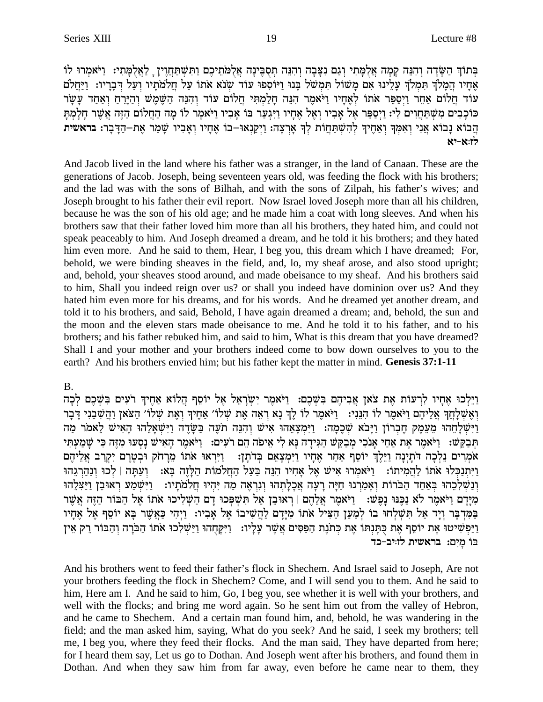בְּתוֹךְ הַשָּׂדֶה וְהִנֵּה קַמָּה אֲלִמָּתִי וְגַם נִצָּבָה וְהִנֵּה תִסְבֵּינָה אֲלְמֹתֵיכֶם וַתְּשִׁתַּחֲוֵין ַ לַאֲלְמָתִי: וַיֹּאמְרוּ לוֹ אֶחַיו הֲמַלֹךְ תִּמְלֹךְ עַלֵינוּ אִם מַשׁוֹל תִּמְשֹׁל בְּנוּ וַיּוֹסְפוּ עוֹד שִנֹא אֹתוֹ עַל חֲלֹמֹתַיו וְעַל דְבָרֵיו: וַיַּחֲלֹם עוד חַלוֹם אַחֲר וַיִסְפֵּר אֹתוֹ לְאֶחַיו וַיֹּאמֶר הַנֶּה חַלֲמִתִּי חֲלוֹם עוֹד וְהִנֵּה הַשֶּׁמֵשׁ וְהַיַּרַח וְאַחָד עַשַׂר כוכבים משתחוים לי: ויספר אל אביו ואל אחיו ויגער בו אביו ויאמר לו מה החלום הזה אשר חלמת הֲבוֹא נָבוֹא אֲנִי וְאִמְּךְ וְאַחֵיךְ לְהִשְׁתַּחֲוֹת לְךָ אֲרִצָה: וַיְקַנְאוּ–בוֹ אֵחָיו וְאָבְיו שַׁמַר אֶת-הַדָּבְר: בראשית לו:א-יא

And Jacob lived in the land where his father was a stranger, in the land of Canaan. These are the generations of Jacob. Joseph, being seventeen years old, was feeding the flock with his brothers; and the lad was with the sons of Bilhah, and with the sons of Zilpah, his father's wives; and Joseph brought to his father their evil report. Now Israel loved Joseph more than all his children, because he was the son of his old age; and he made him a coat with long sleeves. And when his brothers saw that their father loved him more than all his brothers, they hated him, and could not speak peaceably to him. And Joseph dreamed a dream, and he told it his brothers; and they hated him even more. And he said to them, Hear, I beg you, this dream which I have dreamed; For, behold, we were binding sheaves in the field, and, lo, my sheaf arose, and also stood upright; and, behold, your sheaves stood around, and made obeisance to my sheaf. And his brothers said to him, Shall you indeed reign over us? or shall you indeed have dominion over us? And they hated him even more for his dreams, and for his words. And he dreamed yet another dream, and told it to his brothers, and said, Behold, I have again dreamed a dream; and, behold, the sun and the moon and the eleven stars made obeisance to me. And he told it to his father, and to his brothers; and his father rebuked him, and said to him, What is this dream that you have dreamed? Shall I and your mother and your brothers indeed come to bow down ourselves to you to the earth? And his brothers envied him; but his father kept the matter in mind. Genesis 37:1-11

#### $B<sub>1</sub>$

וַיֵּלְכוּ אֶחֵיו לְרִעוֹת אֶת צֹאן אֲבִיהֶם בִּשָּׁכֶם: וַיֹּאמֶר יְשַׂרָאֱל אֶל יוֹסֵף הֲלוֹא אֲחֵיךְ רֹעִים בִּשֶׁכֶם לְכַה וְאֵשְלַחַךְ אֲלֵיהֶם וַיֹּאמֶר לוֹ הִנֵּנִי: [יֹּאמֶר לוֹ לֶךְ נָא רְאֵה אֶת שְלוֹ׳ אַחֶיךָ וְאֶת שְלוֹ׳ הַצֹּאן וַהֲשִׁבֵנִי דְּבְר וַיִּשְׁלַחֲהוּ מֵעֵמֶק חֵבְרוֹן וַיָּבֹא שְׁבֵמַה: וַיִּמְצָאֵהוּ אִישׁ וְהִנֵּה תֹעֵה בַּשַּׂדֵה וַיִּשְׁאַלֵהוּ הָאִישׁ לֵאמֹר מַה תִּבְקֵשׁ: וַיֹּאמֵר אֶת אָחַי אַנֹכִי מִבְקֵשׁ הַגִּידָה נַא לִי אֵיפֹה הֵם רֹעִים: וַיֹּאמֵר הַאִישׁ נַסְעוּ מִזֶה כִּי שַׁמֲעֹתִּי אֹמְרִים נֵלְכָה דֹתַיִנָה וַיֵּלֵךְ יוֹסֵף אַחַר אֶחָיו וַיִּמְצָאֵם בְּדֹתָן: - וַיִּרְאוּ אֹתוֹ מֵרָחֹק וּבְטֵרֵם יִקְרַב אֲלֵיהֶם וַיְתִנְכְּלוּ אתוֹ לַהֲמִיתוֹ: [יֹּאמִרוּ אִישׁ אֵל אַחִיו הִנֶּה בַּעֲל הַחֲלֹמוֹת הַלַּזֶה בַּא: [וַעֲתַּה | לְכוּ וְנַהֲרְגֵהוּ ונשלכהו באחד הברות ואמרנו חיה רעה אכלתהו ונראה מה יהיו חלמתיו: \_ וַיּשמַע ראוּבן וַיַּצְלָהוּ מִיַּדָם וַיֹּאמֶר לֹא נַכְּנוּ נַפְשׁ: 「וַיֹּאמֶר אֲלָהֶם | רְאוּבֶן אֵל תִּשְׁפְּכוּ דָם הַשְׁלִיכוּ אתו אַל הַבּוֹר הַזֶּה אֲשֶׁר בַּמִּרְבַּר וְיַד אֲל תִּשְׁלְחוּ בוֹ לִמֲעַן הַצִּיל אֹתוֹ מִיַּדַם לַהֲשִׁיבוֹ אֵל אַבִיו: וַיִּהִי כַּאֲשֵׁר בַּא יוֹסֵף אֵל אֶחַיו וַיַּפְשִׁיטוּ אֶת יוֹסֵף אֶת כְּתְּנְתּוֹ אֶת כִּתֹנֶת הַפַּסִּים אֲשֶׁר עָלָיו: וַיִּקְחָהוּ וַיַּשִׁלְכוּ אֹתוֹ הַבּׂרָה וְהַבּוֹר רֵק אֵין בו מים: בראשית לזויב-כד

And his brothers went to feed their father's flock in Shechem. And Israel said to Joseph, Are not your brothers feeding the flock in Shechem? Come, and I will send you to them. And he said to him, Here am I. And he said to him, Go, I beg you, see whether it is well with your brothers, and well with the flocks; and bring me word again. So he sent him out from the valley of Hebron, and he came to Shechem. And a certain man found him, and, behold, he was wandering in the field; and the man asked him, saying, What do you seek? And he said, I seek my brothers; tell me, I beg you, where they feed their flocks. And the man said, They have departed from here; for I heard them say, Let us go to Dothan. And Joseph went after his brothers, and found them in Dothan. And when they saw him from far away, even before he came near to them, they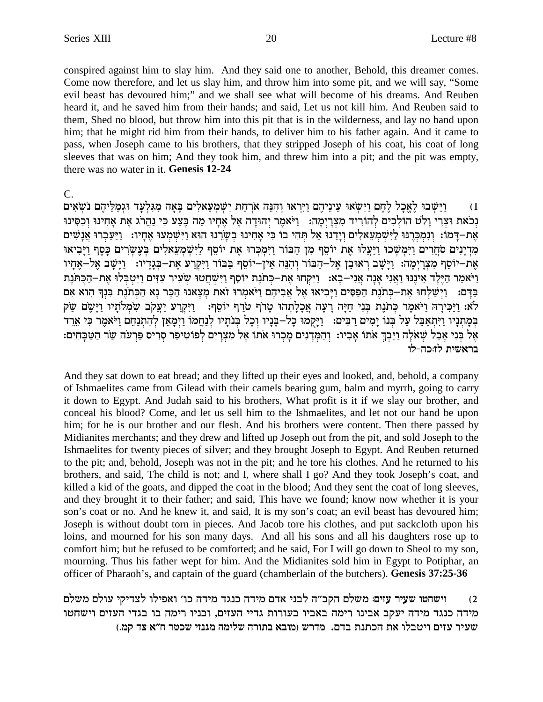conspired against him to slay him. And they said one to another, Behold, this dreamer comes. Come now therefore, and let us slay him, and throw him into some pit, and we will say, "Some evil beast has devoured him;" and we shall see what will become of his dreams. And Reuben heard it, and he saved him from their hands; and said, Let us not kill him. And Reuben said to them, Shed no blood, but throw him into this pit that is in the wilderness, and lay no hand upon him; that he might rid him from their hands, to deliver him to his father again. And it came to pass, when Joseph came to his brothers, that they stripped Joseph of his coat, his coat of long sleeves that was on him; And they took him, and threw him into a pit; and the pit was empty, there was no water in it. Genesis 12-24

 $C_{\cdot}$ 

וַיַּשְׁבוּ לַאֲכָל לֶחֶם וַיִּשְׂאוּ עֵינֵיהֵם וַיִּרְאוּ וְהִנָּה אֹרְחַת יִשְׁמַעֲאלִים בַּאֲה מִגְּלְעָד וּגִמְלִיהֶם נֹשָׂאִים  $(1)$ נכאת וצרי ולט הולכים להוריד מצרימה: ויאמר יהודה אל אחיו מה בצע כי נהרג את אחינו וכסינו אַת-דַּמוֹ: וְנִמְכְּרְנּוּ לַיִּשְׁמְעָאלִים וַיַּדְנוּ אַל תְּהִי בוֹ כִּי אַחִינוּ בְשַׂרְנוּ הוּא וַיִּשְׁמְעוּ אֲחַיו: "וַיַּעֲבְרוּ אֲנָשִׁים מדינים סחרים וימשכו ויעלו את יוסף מן הבור וימכרו את יוסף לישמעאלים בעשרים כסף ויביאו את-יוסף מצרימה: וַיַּשֵׁב רְאוּבֵן אֵל-הַבּוֹר וְהִנֵּה אֵין-יוֹסֵף בַּבּוֹר וַיִּקְרַע אֶת-בְּגָדַיו: נַיַּשָׁב אֵל-אֶחָיו וַיֹּאמַר הַיֵּלֵד אֵינֵנּוּ וַאֲנִי אָנָה אֲנִי–בָא: וַיִּקְחוּ אֶת–כִּתֹנֶת יוֹסֵף וַיִּשְׁחֲטוּ שִׂעִיר עִזִּים וַיִּטְבְּלוּ אֶת–הַכְּתּנֶת בדם: וישלחו את-כתנת הפסים ויביאו אל אביהם ויאמרו זאת מצאנו הכר נא הכתנת בנך הוא אם לא: וַיַּכִּירָה וַיֹּאמֶר כְּתֹנֶת בְּנִי חַיַּה רַעֲה אֲכָלַתְהוּ טַרֹף טֹרַף יוֹסֵף: - וַיִּקְרַע יַעֲקֹב שַׂמְלֹתַיו וַיַּשֶׂם שַׂק במתניו וַיִּתְאַבֵּל עַל בְּנוֹ יַמִים רַבִּים: [יַקְמוּ כָל–בָּנָיו וְכָל בְּנֹתַיו לְנָחֲמוֹ וַיִמָאֶן לְהִתְנַחֵם וַיֹּאמֶר כִּי אֶרֶד אֵל בְּנִי אָבֶל שָׁאֹלָה וַיֵּבְךָ אֹתוֹ אָבְיו: וְהַמְּדֵנִים מַכְרוּ אֹתוֹ אֵל מִצְרַיִם לְפוֹטִיפַר סְרִיס פַּרְעֹה שַׂר הַטַּבָּחִים: בראשית לז:כה-לו

And they sat down to eat bread; and they lifted up their eyes and looked, and, behold, a company of Ishmaelites came from Gilead with their camels bearing gum, balm and myrrh, going to carry it down to Egypt. And Judah said to his brothers, What profit is it if we slay our brother, and conceal his blood? Come, and let us sell him to the Ishmaelites, and let not our hand be upon him; for he is our brother and our flesh. And his brothers were content. Then there passed by Midianites merchants; and they drew and lifted up Joseph out from the pit, and sold Joseph to the Ishmaelites for twenty pieces of silver; and they brought Joseph to Egypt. And Reuben returned to the pit; and, behold, Joseph was not in the pit; and he tore his clothes. And he returned to his brothers, and said, The child is not; and I, where shall I go? And they took Joseph's coat, and killed a kid of the goats, and dipped the coat in the blood; And they sent the coat of long sleeves, and they brought it to their father; and said, This have we found; know now whether it is your son's coat or no. And he knew it, and said, It is my son's coat; an evil beast has devoured him; Joseph is without doubt torn in pieces. And Jacob tore his clothes, and put sackcloth upon his loins, and mourned for his son many days. And all his sons and all his daughters rose up to comfort him; but he refused to be comforted; and he said, For I will go down to Sheol to my son, mourning. Thus his father wept for him. And the Midianites sold him in Egypt to Potiphar, an officer of Pharaoh's, and captain of the guard (chamberlain of the butchers). Genesis 37:25-36

וישחטו שעיר עזים: משלם הקב״ה לבני אדם מידה כנגד מידה כו׳ ואפילו לצדיקי עולם משלם  $(2)$ מידה כנגד מידה יעקב אבינו רימה באביו בעורות גדיי העזים, ובניו רימה בו בגדי העזים וישחטו שעיר עזים ויטבלו את הכתנת בדם. מדרש (מובא בתורה שלימה מגנזי שכטר ח״א צד קמ.)